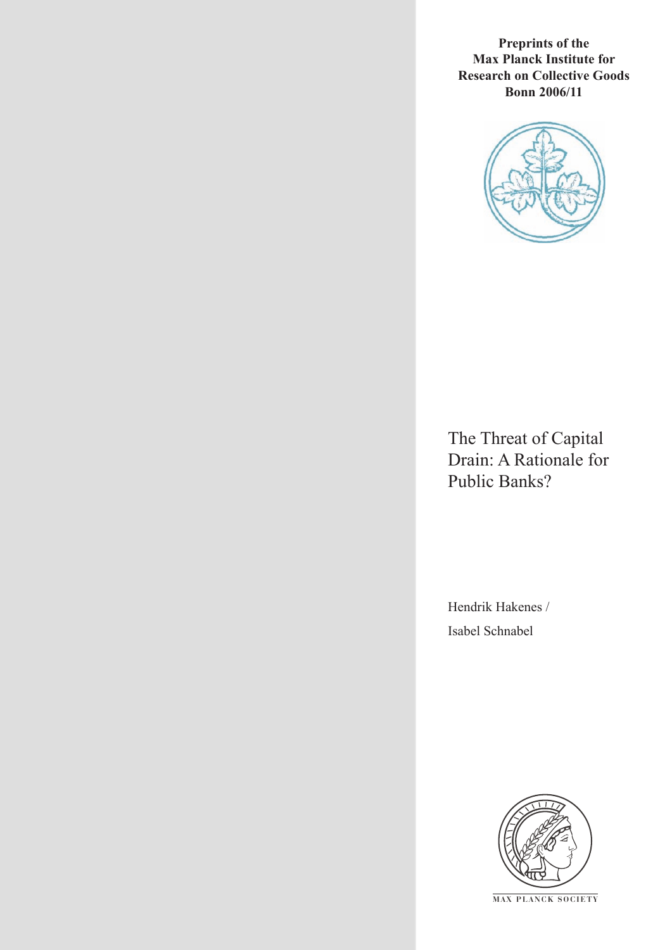**Preprints of the Max Planck Institute for Research on Collective Goods Bonn 2006/11**



The Threat of Capital Drain: A Rationale for Public Banks?

Hendrik Hakenes / Isabel Schnabel



**M AX P L A N C K S O C I E T Y**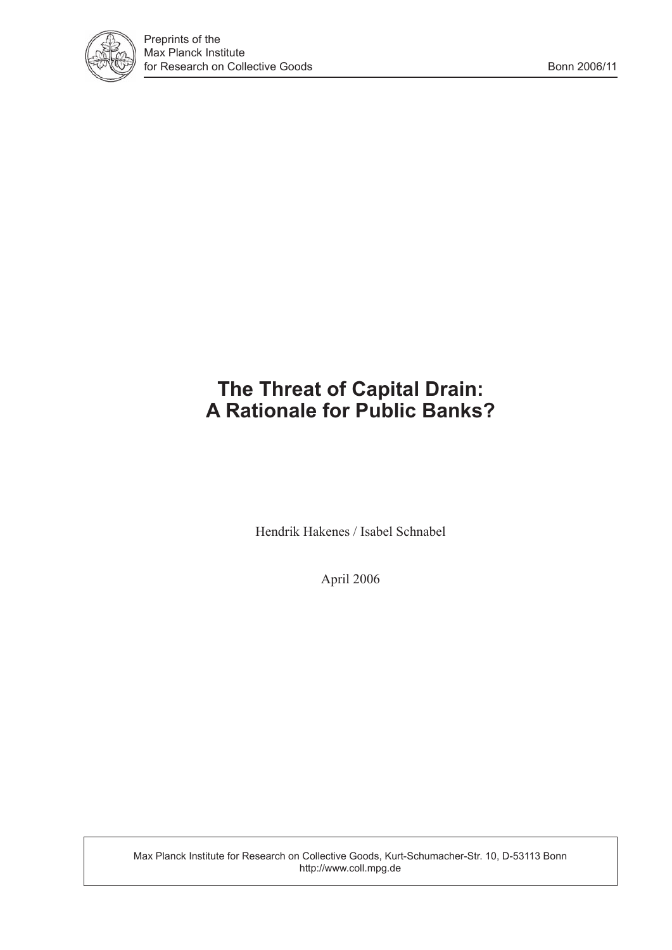

# **The Threat of Capital Drain: A Rationale for Public Banks?**

Hendrik Hakenes / Isabel Schnabel

April 2006

Max Planck Institute for Research on Collective Goods, Kurt-Schumacher-Str. 10, D-53113 Bonn http://www.coll.mpg.de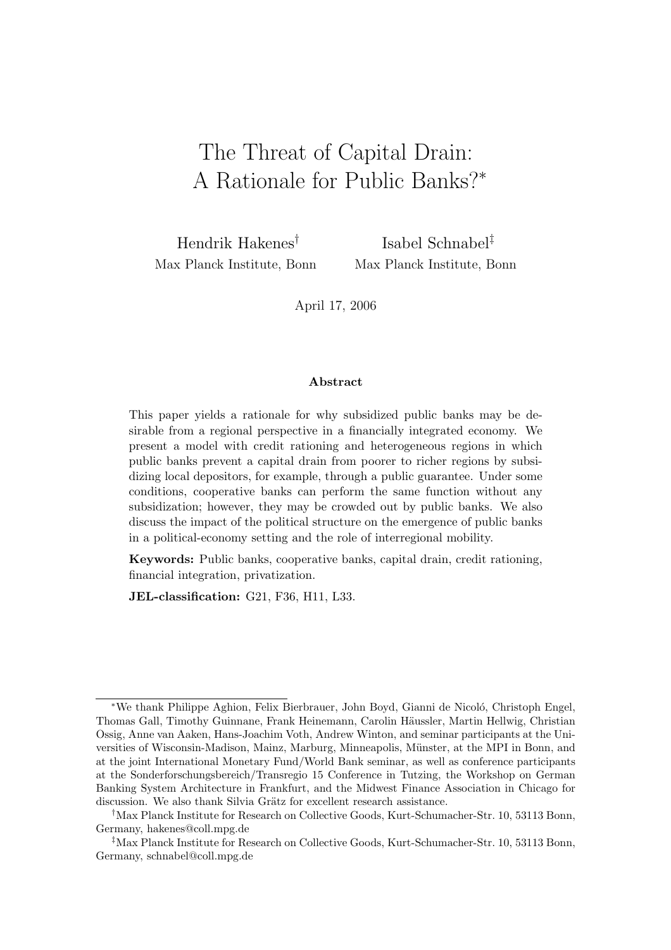# The Threat of Capital Drain: A Rationale for Public Banks?<sup>∗</sup>

Hendrik Hakenes† Max Planck Institute, Bonn

Isabel Schnabel‡ Max Planck Institute, Bonn

April 17, 2006

#### **Abstract**

This paper yields a rationale for why subsidized public banks may be desirable from a regional perspective in a financially integrated economy. We present a model with credit rationing and heterogeneous regions in which public banks prevent a capital drain from poorer to richer regions by subsidizing local depositors, for example, through a public guarantee. Under some conditions, cooperative banks can perform the same function without any subsidization; however, they may be crowded out by public banks. We also discuss the impact of the political structure on the emergence of public banks in a political-economy setting and the role of interregional mobility.

**Keywords:** Public banks, cooperative banks, capital drain, credit rationing, financial integration, privatization.

**JEL-classification:** G21, F36, H11, L33.

<sup>∗</sup>We thank Philippe Aghion, Felix Bierbrauer, John Boyd, Gianni de Nicol´o, Christoph Engel, Thomas Gall, Timothy Guinnane, Frank Heinemann, Carolin Häussler, Martin Hellwig, Christian Ossig, Anne van Aaken, Hans-Joachim Voth, Andrew Winton, and seminar participants at the Universities of Wisconsin-Madison, Mainz, Marburg, Minneapolis, Münster, at the MPI in Bonn, and at the joint International Monetary Fund/World Bank seminar, as well as conference participants at the Sonderforschungsbereich/Transregio 15 Conference in Tutzing, the Workshop on German Banking System Architecture in Frankfurt, and the Midwest Finance Association in Chicago for discussion. We also thank Silvia Grätz for excellent research assistance.

<sup>†</sup>Max Planck Institute for Research on Collective Goods, Kurt-Schumacher-Str. 10, 53113 Bonn, Germany, hakenes@coll.mpg.de

<sup>‡</sup>Max Planck Institute for Research on Collective Goods, Kurt-Schumacher-Str. 10, 53113 Bonn, Germany, schnabel@coll.mpg.de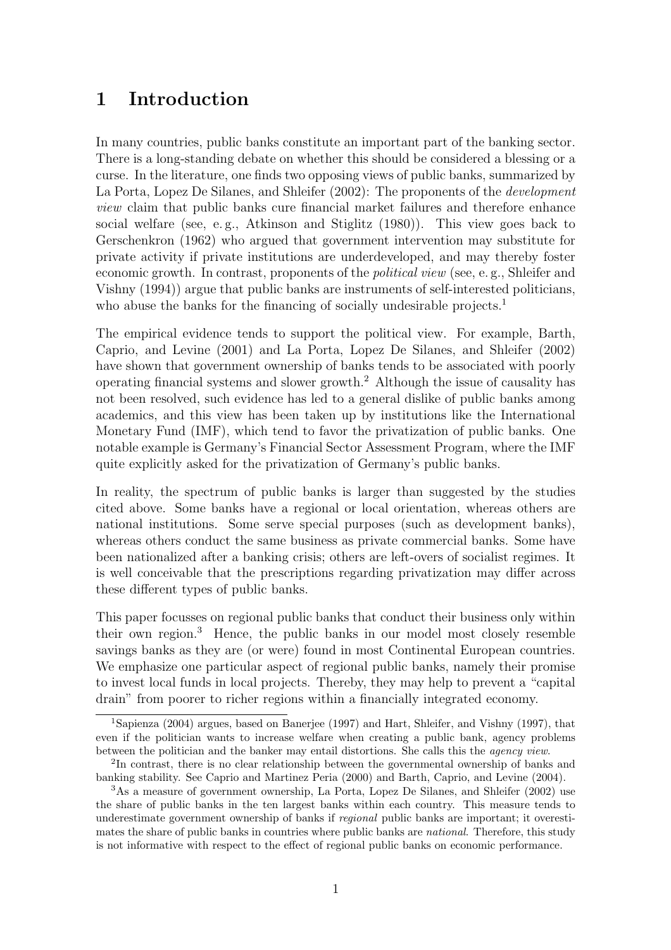# **1 Introduction**

In many countries, public banks constitute an important part of the banking sector. There is a long-standing debate on whether this should be considered a blessing or a curse. In the literature, one finds two opposing views of public banks, summarized by La Porta, Lopez De Silanes, and Shleifer (2002): The proponents of the development view claim that public banks cure financial market failures and therefore enhance social welfare (see, e. g., Atkinson and Stiglitz (1980)). This view goes back to Gerschenkron (1962) who argued that government intervention may substitute for private activity if private institutions are underdeveloped, and may thereby foster economic growth. In contrast, proponents of the political view (see, e. g., Shleifer and Vishny (1994)) argue that public banks are instruments of self-interested politicians, who abuse the banks for the financing of socially undesirable projects.<sup>1</sup>

The empirical evidence tends to support the political view. For example, Barth, Caprio, and Levine (2001) and La Porta, Lopez De Silanes, and Shleifer (2002) have shown that government ownership of banks tends to be associated with poorly operating financial systems and slower growth.<sup>2</sup> Although the issue of causality has not been resolved, such evidence has led to a general dislike of public banks among academics, and this view has been taken up by institutions like the International Monetary Fund (IMF), which tend to favor the privatization of public banks. One notable example is Germany's Financial Sector Assessment Program, where the IMF quite explicitly asked for the privatization of Germany's public banks.

In reality, the spectrum of public banks is larger than suggested by the studies cited above. Some banks have a regional or local orientation, whereas others are national institutions. Some serve special purposes (such as development banks), whereas others conduct the same business as private commercial banks. Some have been nationalized after a banking crisis; others are left-overs of socialist regimes. It is well conceivable that the prescriptions regarding privatization may differ across these different types of public banks.

This paper focusses on regional public banks that conduct their business only within their own region.<sup>3</sup> Hence, the public banks in our model most closely resemble savings banks as they are (or were) found in most Continental European countries. We emphasize one particular aspect of regional public banks, namely their promise to invest local funds in local projects. Thereby, they may help to prevent a "capital drain" from poorer to richer regions within a financially integrated economy.

<sup>1</sup>Sapienza (2004) argues, based on Banerjee (1997) and Hart, Shleifer, and Vishny (1997), that even if the politician wants to increase welfare when creating a public bank, agency problems between the politician and the banker may entail distortions. She calls this the *agency view*.<br><sup>2</sup>In contrast, there is no clear relationship between the governmental ownership of banks and

banking stability. See Caprio and Martinez Peria (2000) and Barth, Caprio, and Levine (2004).

<sup>3</sup>As a measure of government ownership, La Porta, Lopez De Silanes, and Shleifer (2002) use the share of public banks in the ten largest banks within each country. This measure tends to underestimate government ownership of banks if *regional* public banks are important; it overestimates the share of public banks in countries where public banks are *national*. Therefore, this study is not informative with respect to the effect of regional public banks on economic performance.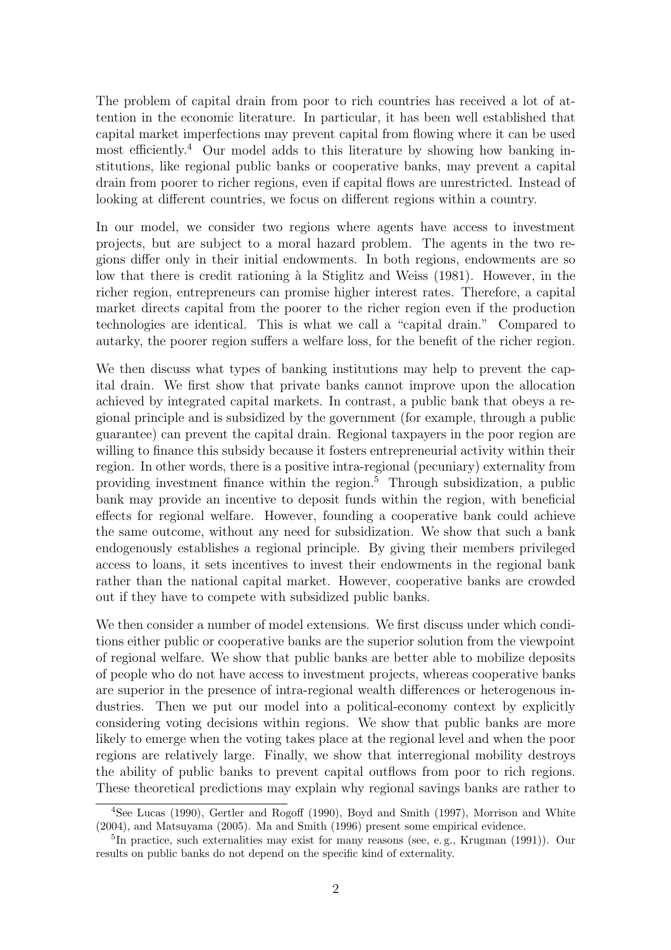The problem of capital drain from poor to rich countries has received a lot of attention in the economic literature. In particular, it has been well established that capital market imperfections may prevent capital from flowing where it can be used most efficiently.<sup>4</sup> Our model adds to this literature by showing how banking institutions, like regional public banks or cooperative banks, may prevent a capital drain from poorer to richer regions, even if capital flows are unrestricted. Instead of looking at different countries, we focus on different regions within a country.

In our model, we consider two regions where agents have access to investment projects, but are subject to a moral hazard problem. The agents in the two regions differ only in their initial endowments. In both regions, endowments are so low that there is credit rationing à la Stiglitz and Weiss (1981). However, in the richer region, entrepreneurs can promise higher interest rates. Therefore, a capital market directs capital from the poorer to the richer region even if the production technologies are identical. This is what we call a "capital drain." Compared to autarky, the poorer region suffers a welfare loss, for the benefit of the richer region.

We then discuss what types of banking institutions may help to prevent the capital drain. We first show that private banks cannot improve upon the allocation achieved by integrated capital markets. In contrast, a public bank that obeys a regional principle and is subsidized by the government (for example, through a public guarantee) can prevent the capital drain. Regional taxpayers in the poor region are willing to finance this subsidy because it fosters entrepreneurial activity within their region. In other words, there is a positive intra-regional (pecuniary) externality from providing investment finance within the region.<sup>5</sup> Through subsidization, a public bank may provide an incentive to deposit funds within the region, with beneficial effects for regional welfare. However, founding a cooperative bank could achieve the same outcome, without any need for subsidization. We show that such a bank endogenously establishes a regional principle. By giving their members privileged access to loans, it sets incentives to invest their endowments in the regional bank rather than the national capital market. However, cooperative banks are crowded out if they have to compete with subsidized public banks.

We then consider a number of model extensions. We first discuss under which conditions either public or cooperative banks are the superior solution from the viewpoint of regional welfare. We show that public banks are better able to mobilize deposits of people who do not have access to investment projects, whereas cooperative banks are superior in the presence of intra-regional wealth differences or heterogenous industries. Then we put our model into a political-economy context by explicitly considering voting decisions within regions. We show that public banks are more likely to emerge when the voting takes place at the regional level and when the poor regions are relatively large. Finally, we show that interregional mobility destroys the ability of public banks to prevent capital outflows from poor to rich regions. These theoretical predictions may explain why regional savings banks are rather to

<sup>4</sup>See Lucas (1990), Gertler and Rogoff (1990), Boyd and Smith (1997), Morrison and White (2004), and Matsuyama (2005). Ma and Smith (1996) present some empirical evidence.

 $5\text{In practice, such externalities may exist for many reasons (see, e.g., Krugman (1991)). Our$ results on public banks do not depend on the specific kind of externality.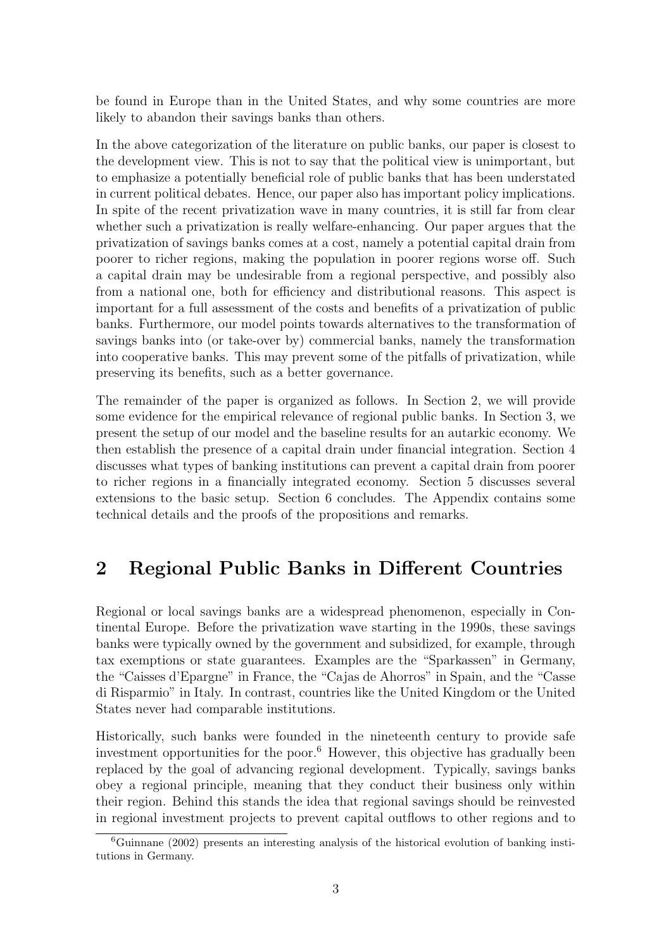be found in Europe than in the United States, and why some countries are more likely to abandon their savings banks than others.

In the above categorization of the literature on public banks, our paper is closest to the development view. This is not to say that the political view is unimportant, but to emphasize a potentially beneficial role of public banks that has been understated in current political debates. Hence, our paper also has important policy implications. In spite of the recent privatization wave in many countries, it is still far from clear whether such a privatization is really welfare-enhancing. Our paper argues that the privatization of savings banks comes at a cost, namely a potential capital drain from poorer to richer regions, making the population in poorer regions worse off. Such a capital drain may be undesirable from a regional perspective, and possibly also from a national one, both for efficiency and distributional reasons. This aspect is important for a full assessment of the costs and benefits of a privatization of public banks. Furthermore, our model points towards alternatives to the transformation of savings banks into (or take-over by) commercial banks, namely the transformation into cooperative banks. This may prevent some of the pitfalls of privatization, while preserving its benefits, such as a better governance.

The remainder of the paper is organized as follows. In Section 2, we will provide some evidence for the empirical relevance of regional public banks. In Section 3, we present the setup of our model and the baseline results for an autarkic economy. We then establish the presence of a capital drain under financial integration. Section 4 discusses what types of banking institutions can prevent a capital drain from poorer to richer regions in a financially integrated economy. Section 5 discusses several extensions to the basic setup. Section 6 concludes. The Appendix contains some technical details and the proofs of the propositions and remarks.

# **2 Regional Public Banks in Different Countries**

Regional or local savings banks are a widespread phenomenon, especially in Continental Europe. Before the privatization wave starting in the 1990s, these savings banks were typically owned by the government and subsidized, for example, through tax exemptions or state guarantees. Examples are the "Sparkassen" in Germany, the "Caisses d'Epargne" in France, the "Cajas de Ahorros" in Spain, and the "Casse di Risparmio" in Italy. In contrast, countries like the United Kingdom or the United States never had comparable institutions.

Historically, such banks were founded in the nineteenth century to provide safe investment opportunities for the poor. $6$  However, this objective has gradually been replaced by the goal of advancing regional development. Typically, savings banks obey a regional principle, meaning that they conduct their business only within their region. Behind this stands the idea that regional savings should be reinvested in regional investment projects to prevent capital outflows to other regions and to

 $6G$ uinnane (2002) presents an interesting analysis of the historical evolution of banking institutions in Germany.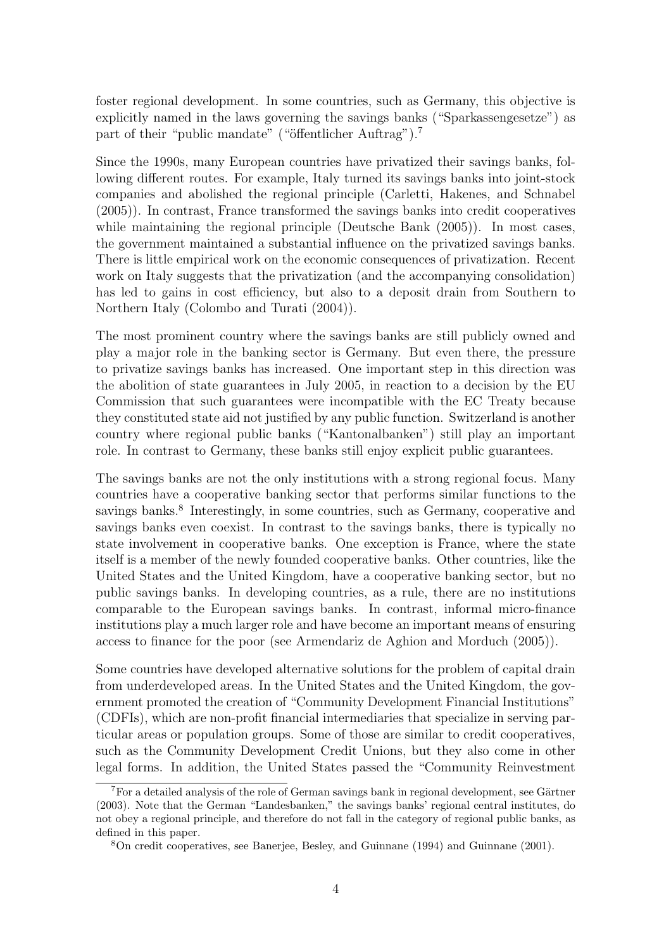foster regional development. In some countries, such as Germany, this objective is explicitly named in the laws governing the savings banks ("Sparkassengesetze") as part of their "public mandate" ("öffentlicher Auftrag").<sup>7</sup>

Since the 1990s, many European countries have privatized their savings banks, following different routes. For example, Italy turned its savings banks into joint-stock companies and abolished the regional principle (Carletti, Hakenes, and Schnabel (2005)). In contrast, France transformed the savings banks into credit cooperatives while maintaining the regional principle (Deutsche Bank  $(2005)$ ). In most cases, the government maintained a substantial influence on the privatized savings banks. There is little empirical work on the economic consequences of privatization. Recent work on Italy suggests that the privatization (and the accompanying consolidation) has led to gains in cost efficiency, but also to a deposit drain from Southern to Northern Italy (Colombo and Turati (2004)).

The most prominent country where the savings banks are still publicly owned and play a major role in the banking sector is Germany. But even there, the pressure to privatize savings banks has increased. One important step in this direction was the abolition of state guarantees in July 2005, in reaction to a decision by the EU Commission that such guarantees were incompatible with the EC Treaty because they constituted state aid not justified by any public function. Switzerland is another country where regional public banks ("Kantonalbanken") still play an important role. In contrast to Germany, these banks still enjoy explicit public guarantees.

The savings banks are not the only institutions with a strong regional focus. Many countries have a cooperative banking sector that performs similar functions to the savings banks.<sup>8</sup> Interestingly, in some countries, such as Germany, cooperative and savings banks even coexist. In contrast to the savings banks, there is typically no state involvement in cooperative banks. One exception is France, where the state itself is a member of the newly founded cooperative banks. Other countries, like the United States and the United Kingdom, have a cooperative banking sector, but no public savings banks. In developing countries, as a rule, there are no institutions comparable to the European savings banks. In contrast, informal micro-finance institutions play a much larger role and have become an important means of ensuring access to finance for the poor (see Armendariz de Aghion and Morduch (2005)).

Some countries have developed alternative solutions for the problem of capital drain from underdeveloped areas. In the United States and the United Kingdom, the government promoted the creation of "Community Development Financial Institutions" (CDFIs), which are non-profit financial intermediaries that specialize in serving particular areas or population groups. Some of those are similar to credit cooperatives, such as the Community Development Credit Unions, but they also come in other legal forms. In addition, the United States passed the "Community Reinvestment

 $7$  For a detailed analysis of the role of German savings bank in regional development, see Gärtner (2003). Note that the German "Landesbanken," the savings banks' regional central institutes, do not obey a regional principle, and therefore do not fall in the category of regional public banks, as defined in this paper.

<sup>8</sup>On credit cooperatives, see Banerjee, Besley, and Guinnane (1994) and Guinnane (2001).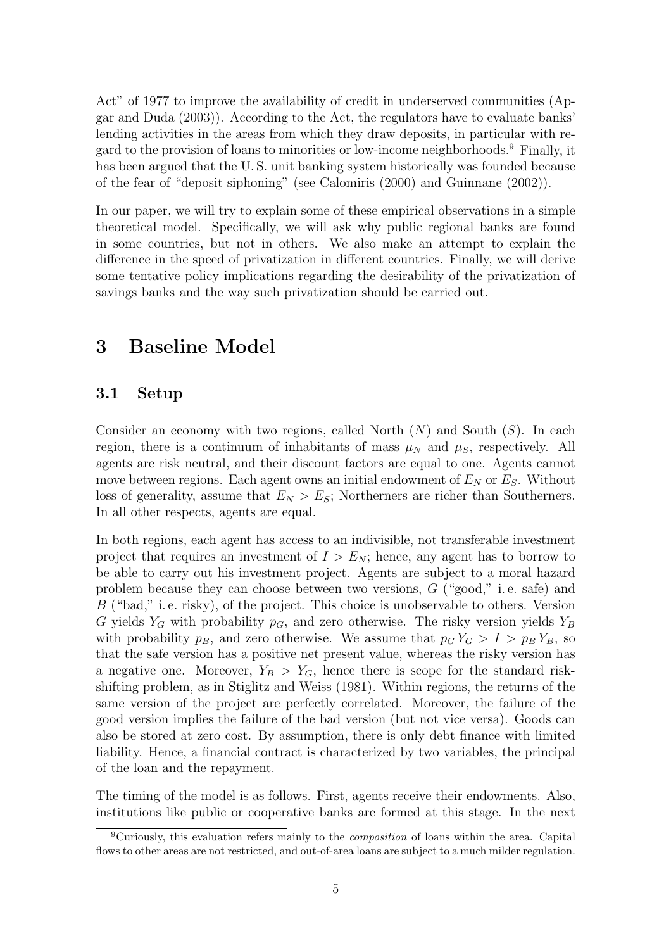Act" of 1977 to improve the availability of credit in underserved communities (Apgar and Duda (2003)). According to the Act, the regulators have to evaluate banks' lending activities in the areas from which they draw deposits, in particular with regard to the provision of loans to minorities or low-income neighborhoods.<sup>9</sup> Finally, it has been argued that the U. S. unit banking system historically was founded because of the fear of "deposit siphoning" (see Calomiris (2000) and Guinnane (2002)).

In our paper, we will try to explain some of these empirical observations in a simple theoretical model. Specifically, we will ask why public regional banks are found in some countries, but not in others. We also make an attempt to explain the difference in the speed of privatization in different countries. Finally, we will derive some tentative policy implications regarding the desirability of the privatization of savings banks and the way such privatization should be carried out.

## **3 Baseline Model**

### **3.1 Setup**

Consider an economy with two regions, called North  $(N)$  and South  $(S)$ . In each region, there is a continuum of inhabitants of mass  $\mu_N$  and  $\mu_S$ , respectively. All agents are risk neutral, and their discount factors are equal to one. Agents cannot move between regions. Each agent owns an initial endowment of E*<sup>N</sup>* or E*S*. Without loss of generality, assume that  $E_N > E_S$ ; Northerners are richer than Southerners. In all other respects, agents are equal.

In both regions, each agent has access to an indivisible, not transferable investment project that requires an investment of  $I > E_N$ ; hence, any agent has to borrow to be able to carry out his investment project. Agents are subject to a moral hazard problem because they can choose between two versions, G ("good," i. e. safe) and B ("bad," i. e. risky), of the project. This choice is unobservable to others. Version G yields  $Y_G$  with probability  $p_G$ , and zero otherwise. The risky version yields  $Y_B$ with probability  $p_B$ , and zero otherwise. We assume that  $p_G Y_G > I > p_B Y_B$ , so that the safe version has a positive net present value, whereas the risky version has a negative one. Moreover,  $Y_B > Y_G$ , hence there is scope for the standard riskshifting problem, as in Stiglitz and Weiss (1981). Within regions, the returns of the same version of the project are perfectly correlated. Moreover, the failure of the good version implies the failure of the bad version (but not vice versa). Goods can also be stored at zero cost. By assumption, there is only debt finance with limited liability. Hence, a financial contract is characterized by two variables, the principal of the loan and the repayment.

The timing of the model is as follows. First, agents receive their endowments. Also, institutions like public or cooperative banks are formed at this stage. In the next

<sup>&</sup>lt;sup>9</sup>Curiously, this evaluation refers mainly to the *composition* of loans within the area. Capital flows to other areas are not restricted, and out-of-area loans are subject to a much milder regulation.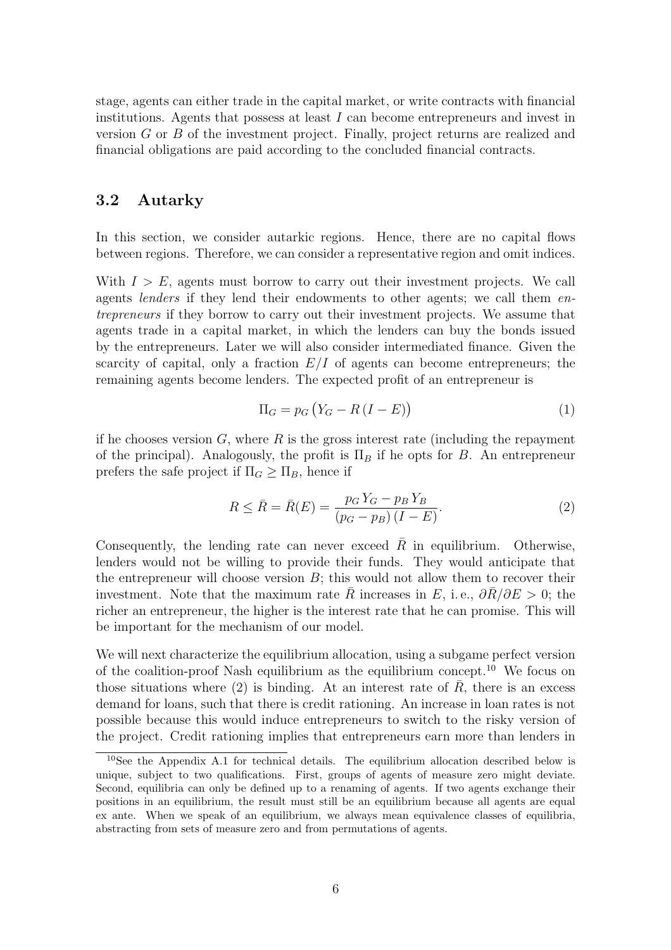stage, agents can either trade in the capital market, or write contracts with financial institutions. Agents that possess at least I can become entrepreneurs and invest in version G or B of the investment project. Finally, project returns are realized and financial obligations are paid according to the concluded financial contracts.

### **3.2 Autarky**

In this section, we consider autarkic regions. Hence, there are no capital flows between regions. Therefore, we can consider a representative region and omit indices.

With  $I>E$ , agents must borrow to carry out their investment projects. We call agents lenders if they lend their endowments to other agents; we call them entrepreneurs if they borrow to carry out their investment projects. We assume that agents trade in a capital market, in which the lenders can buy the bonds issued by the entrepreneurs. Later we will also consider intermediated finance. Given the scarcity of capital, only a fraction  $E/I$  of agents can become entrepreneurs; the remaining agents become lenders. The expected profit of an entrepreneur is

$$
\Pi_G = p_G \left( Y_G - R \left( I - E \right) \right) \tag{1}
$$

if he chooses version  $G$ , where  $R$  is the gross interest rate (including the repayment of the principal). Analogously, the profit is  $\Pi_B$  if he opts for B. An entrepreneur prefers the safe project if  $\Pi_G \geq \Pi_B$ , hence if

$$
R \leq \bar{R} = \bar{R}(E) = \frac{p_G Y_G - p_B Y_B}{(p_G - p_B)(I - E)}.
$$
\n
$$
(2)
$$

Consequently, the lending rate can never exceed  $\bar{R}$  in equilibrium. Otherwise, lenders would not be willing to provide their funds. They would anticipate that the entrepreneur will choose version  $B$ ; this would not allow them to recover their investment. Note that the maximum rate  $\overline{R}$  increases in E, i.e.,  $\partial \overline{R}/\partial E > 0$ ; the richer an entrepreneur, the higher is the interest rate that he can promise. This will be important for the mechanism of our model.

We will next characterize the equilibrium allocation, using a subgame perfect version of the coalition-proof Nash equilibrium as the equilibrium concept.<sup>10</sup> We focus on those situations where (2) is binding. At an interest rate of  $\bar{R}$ , there is an excess demand for loans, such that there is credit rationing. An increase in loan rates is not possible because this would induce entrepreneurs to switch to the risky version of the project. Credit rationing implies that entrepreneurs earn more than lenders in

<sup>10</sup>See the Appendix A.1 for technical details. The equilibrium allocation described below is unique, subject to two qualifications. First, groups of agents of measure zero might deviate. Second, equilibria can only be defined up to a renaming of agents. If two agents exchange their positions in an equilibrium, the result must still be an equilibrium because all agents are equal ex ante. When we speak of an equilibrium, we always mean equivalence classes of equilibria, abstracting from sets of measure zero and from permutations of agents.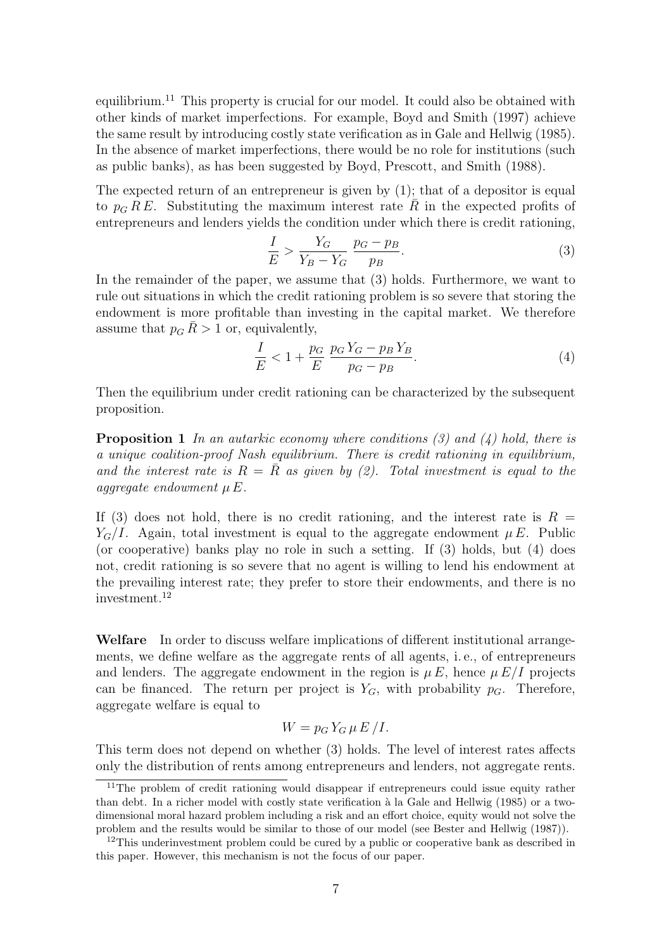equilibrium.<sup>11</sup> This property is crucial for our model. It could also be obtained with other kinds of market imperfections. For example, Boyd and Smith (1997) achieve the same result by introducing costly state verification as in Gale and Hellwig (1985). In the absence of market imperfections, there would be no role for institutions (such as public banks), as has been suggested by Boyd, Prescott, and Smith (1988).

The expected return of an entrepreneur is given by (1); that of a depositor is equal to  $p_G R E$ . Substituting the maximum interest rate  $\overline{R}$  in the expected profits of entrepreneurs and lenders yields the condition under which there is credit rationing,

$$
\frac{I}{E} > \frac{Y_G}{Y_B - Y_G} \frac{p_G - p_B}{p_B}.\tag{3}
$$

In the remainder of the paper, we assume that (3) holds. Furthermore, we want to rule out situations in which the credit rationing problem is so severe that storing the endowment is more profitable than investing in the capital market. We therefore assume that  $p_G R > 1$  or, equivalently,

$$
\frac{I}{E} < 1 + \frac{p_G}{E} \frac{p_G Y_G - p_B Y_B}{p_G - p_B}.\tag{4}
$$

Then the equilibrium under credit rationing can be characterized by the subsequent proposition.

**Proposition 1** In an autarkic economy where conditions (3) and (4) hold, there is a unique coalition-proof Nash equilibrium. There is credit rationing in equilibrium, and the interest rate is  $R = R$  as given by (2). Total investment is equal to the aggregate endowment  $\mu E$ .

If (3) does not hold, there is no credit rationing, and the interest rate is  $R =$  $Y_G/I$ . Again, total investment is equal to the aggregate endowment  $\mu E$ . Public (or cooperative) banks play no role in such a setting. If (3) holds, but (4) does not, credit rationing is so severe that no agent is willing to lend his endowment at the prevailing interest rate; they prefer to store their endowments, and there is no investment.<sup>12</sup>

**Welfare** In order to discuss welfare implications of different institutional arrangements, we define welfare as the aggregate rents of all agents, i. e., of entrepreneurs and lenders. The aggregate endowment in the region is  $\mu E$ , hence  $\mu E/I$  projects can be financed. The return per project is  $Y_G$ , with probability  $p_G$ . Therefore, aggregate welfare is equal to

$$
W = p_G Y_G \mu E / I.
$$

This term does not depend on whether (3) holds. The level of interest rates affects only the distribution of rents among entrepreneurs and lenders, not aggregate rents.

<sup>&</sup>lt;sup>11</sup>The problem of credit rationing would disappear if entrepreneurs could issue equity rather than debt. In a richer model with costly state verification à la Gale and Hellwig (1985) or a twodimensional moral hazard problem including a risk and an effort choice, equity would not solve the problem and the results would be similar to those of our model (see Bester and Hellwig (1987)).

<sup>&</sup>lt;sup>12</sup>This underinvestment problem could be cured by a public or cooperative bank as described in this paper. However, this mechanism is not the focus of our paper.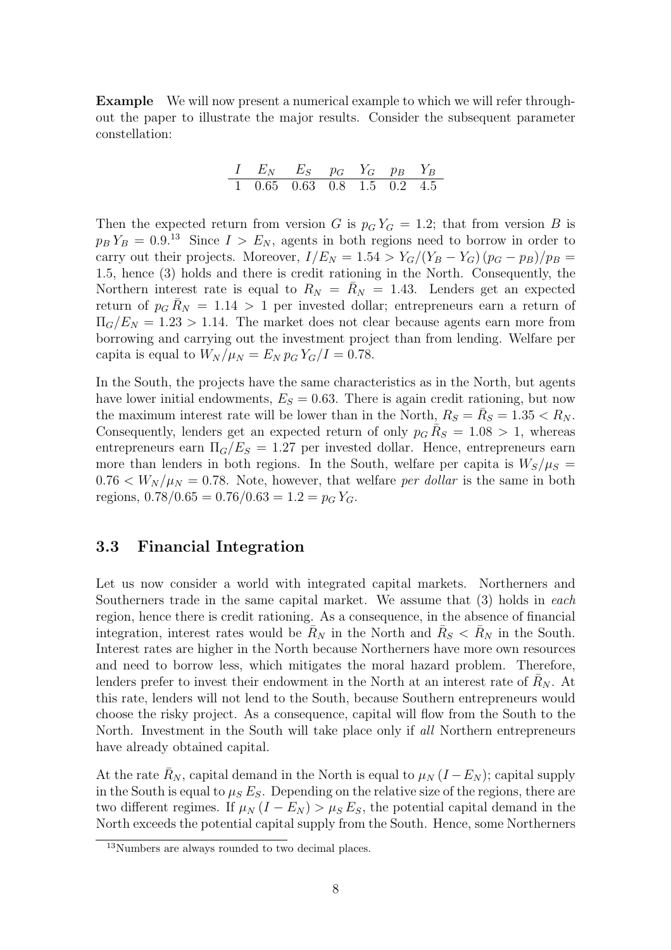**Example** We will now present a numerical example to which we will refer throughout the paper to illustrate the major results. Consider the subsequent parameter constellation:

$$
\begin{array}{ccccc}\nI & E_N & E_S & p_G & Y_G & p_B & Y_B \\
\hline\n1 & 0.65 & 0.63 & 0.8 & 1.5 & 0.2 & 4.5\n\end{array}
$$

Then the expected return from version G is  $p<sub>G</sub> Y<sub>G</sub> = 1.2$ ; that from version B is  $p_B Y_B = 0.9$ <sup>13</sup> Since  $I > E_N$ , agents in both regions need to borrow in order to carry out their projects. Moreover,  $I/E_N = 1.54 > Y_G/(Y_B - Y_G)(p_G - p_B)/p_B =$ 1.5, hence (3) holds and there is credit rationing in the North. Consequently, the Northern interest rate is equal to  $R_N = \bar{R}_N = 1.43$ . Lenders get an expected return of  $p_G \overline{R}_N = 1.14 > 1$  per invested dollar; entrepreneurs earn a return of  $\Pi$ <sup>*G*</sup>/ $E$ <sup>*N*</sup> = 1.23 > 1.14. The market does not clear because agents earn more from borrowing and carrying out the investment project than from lending. Welfare per capita is equal to  $W_N/\mu_N = E_N p_G Y_G/I = 0.78$ .

In the South, the projects have the same characteristics as in the North, but agents have lower initial endowments,  $E_S = 0.63$ . There is again credit rationing, but now the maximum interest rate will be lower than in the North,  $R_S = \bar{R}_S = 1.35 < R_N$ . Consequently, lenders get an expected return of only  $p_G R_S = 1.08 > 1$ , whereas entrepreneurs earn  $\Pi_G/E_S = 1.27$  per invested dollar. Hence, entrepreneurs earn more than lenders in both regions. In the South, welfare per capita is  $W_S/\mu_S =$  $0.76 < W_N/\mu_N = 0.78$ . Note, however, that welfare *per dollar* is the same in both regions,  $0.78/0.65 = 0.76/0.63 = 1.2 = p_G Y_G$ .

#### **3.3 Financial Integration**

Let us now consider a world with integrated capital markets. Northerners and Southerners trade in the same capital market. We assume that (3) holds in each region, hence there is credit rationing. As a consequence, in the absence of financial integration, interest rates would be  $R_N$  in the North and  $R_S < R_N$  in the South. Interest rates are higher in the North because Northerners have more own resources and need to borrow less, which mitigates the moral hazard problem. Therefore, lenders prefer to invest their endowment in the North at an interest rate of  $\bar{R}_{N}$ . At this rate, lenders will not lend to the South, because Southern entrepreneurs would choose the risky project. As a consequence, capital will flow from the South to the North. Investment in the South will take place only if all Northern entrepreneurs have already obtained capital.

At the rate  $R_N$ , capital demand in the North is equal to  $\mu_N (I - E_N)$ ; capital supply in the South is equal to  $\mu_S E_S$ . Depending on the relative size of the regions, there are two different regimes. If  $\mu_N (I - E_N) > \mu_S E_S$ , the potential capital demand in the North exceeds the potential capital supply from the South. Hence, some Northerners

<sup>13</sup>Numbers are always rounded to two decimal places.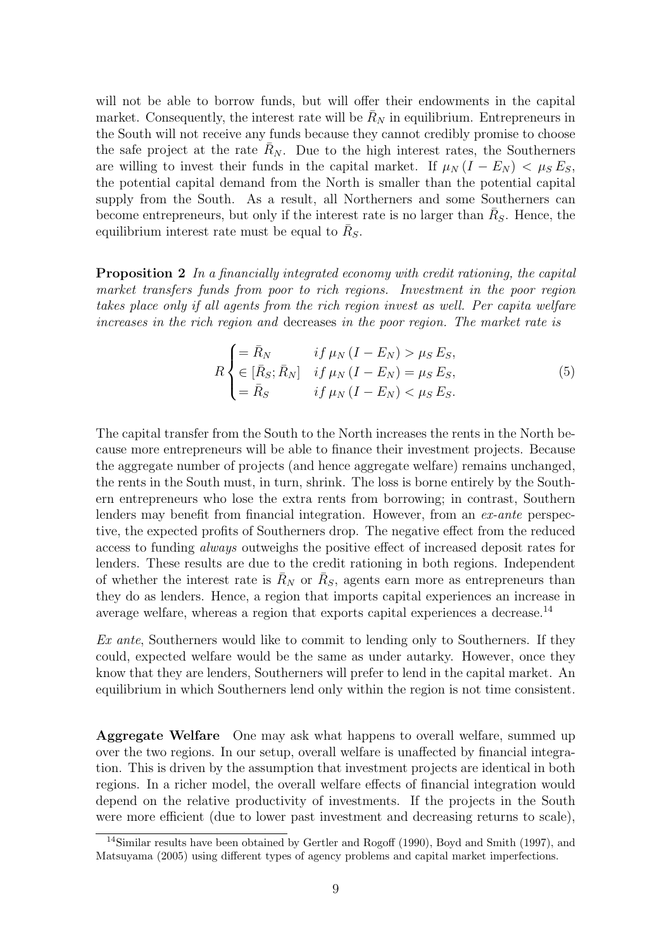will not be able to borrow funds, but will offer their endowments in the capital market. Consequently, the interest rate will be  $R_N$  in equilibrium. Entrepreneurs in the South will not receive any funds because they cannot credibly promise to choose the safe project at the rate  $\bar{R}_{N}$ . Due to the high interest rates, the Southerners are willing to invest their funds in the capital market. If  $\mu_N (I - E_N) < \mu_S E_S$ , the potential capital demand from the North is smaller than the potential capital supply from the South. As a result, all Northerners and some Southerners can become entrepreneurs, but only if the interest rate is no larger than  $R<sub>S</sub>$ . Hence, the equilibrium interest rate must be equal to  $R<sub>S</sub>$ .

**Proposition 2** In a financially integrated economy with credit rationing, the capital market transfers funds from poor to rich regions. Investment in the poor region takes place only if all agents from the rich region invest as well. Per capita welfare increases in the rich region and decreases in the poor region. The market rate is

$$
R\begin{cases} =\bar{R}_N & if \mu_N (I - E_N) > \mu_S E_S, \\ \in [\bar{R}_S; \bar{R}_N] & if \mu_N (I - E_N) = \mu_S E_S, \\ =\bar{R}_S & if \mu_N (I - E_N) < \mu_S E_S. \end{cases}
$$
(5)

The capital transfer from the South to the North increases the rents in the North because more entrepreneurs will be able to finance their investment projects. Because the aggregate number of projects (and hence aggregate welfare) remains unchanged, the rents in the South must, in turn, shrink. The loss is borne entirely by the Southern entrepreneurs who lose the extra rents from borrowing; in contrast, Southern lenders may benefit from financial integration. However, from an ex-ante perspective, the expected profits of Southerners drop. The negative effect from the reduced access to funding always outweighs the positive effect of increased deposit rates for lenders. These results are due to the credit rationing in both regions. Independent of whether the interest rate is  $R_N$  or  $R_S$ , agents earn more as entrepreneurs than they do as lenders. Hence, a region that imports capital experiences an increase in average welfare, whereas a region that exports capital experiences a decrease.<sup>14</sup>

Ex ante, Southerners would like to commit to lending only to Southerners. If they could, expected welfare would be the same as under autarky. However, once they know that they are lenders, Southerners will prefer to lend in the capital market. An equilibrium in which Southerners lend only within the region is not time consistent.

**Aggregate Welfare** One may ask what happens to overall welfare, summed up over the two regions. In our setup, overall welfare is unaffected by financial integration. This is driven by the assumption that investment projects are identical in both regions. In a richer model, the overall welfare effects of financial integration would depend on the relative productivity of investments. If the projects in the South were more efficient (due to lower past investment and decreasing returns to scale),

<sup>14</sup>Similar results have been obtained by Gertler and Rogoff (1990), Boyd and Smith (1997), and Matsuyama (2005) using different types of agency problems and capital market imperfections.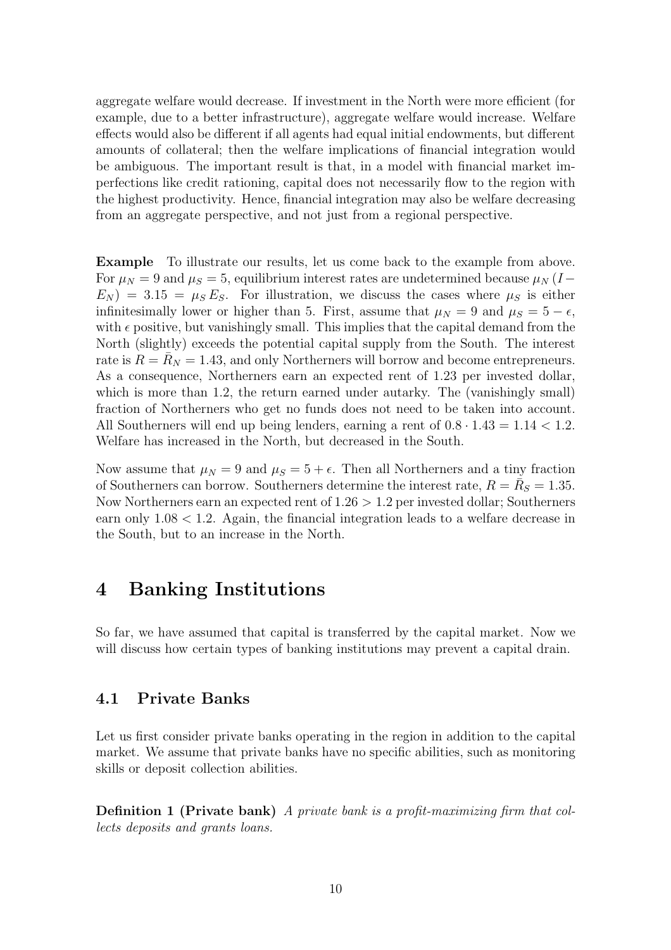aggregate welfare would decrease. If investment in the North were more efficient (for example, due to a better infrastructure), aggregate welfare would increase. Welfare effects would also be different if all agents had equal initial endowments, but different amounts of collateral; then the welfare implications of financial integration would be ambiguous. The important result is that, in a model with financial market imperfections like credit rationing, capital does not necessarily flow to the region with the highest productivity. Hence, financial integration may also be welfare decreasing from an aggregate perspective, and not just from a regional perspective.

**Example** To illustrate our results, let us come back to the example from above. For  $\mu_N = 9$  and  $\mu_S = 5$ , equilibrium interest rates are undetermined because  $\mu_N$  (I –  $E_N$ ) = 3.15 =  $\mu_S E_S$ . For illustration, we discuss the cases where  $\mu_S$  is either infinitesimally lower or higher than 5. First, assume that  $\mu_N = 9$  and  $\mu_S = 5 - \epsilon$ , with  $\epsilon$  positive, but vanishingly small. This implies that the capital demand from the North (slightly) exceeds the potential capital supply from the South. The interest rate is  $R = R_N = 1.43$ , and only Northerners will borrow and become entrepreneurs. As a consequence, Northerners earn an expected rent of 1.23 per invested dollar, which is more than 1.2, the return earned under autarky. The (vanishingly small) fraction of Northerners who get no funds does not need to be taken into account. All Southerners will end up being lenders, earning a rent of  $0.8 \cdot 1.43 = 1.14 < 1.2$ . Welfare has increased in the North, but decreased in the South.

Now assume that  $\mu_N = 9$  and  $\mu_S = 5 + \epsilon$ . Then all Northerners and a tiny fraction of Southerners can borrow. Southerners determine the interest rate,  $R = R<sub>S</sub> = 1.35$ . Now Northerners earn an expected rent of 1.26 > 1.2 per invested dollar; Southerners earn only 1.08 < 1.2. Again, the financial integration leads to a welfare decrease in the South, but to an increase in the North.

## **4 Banking Institutions**

So far, we have assumed that capital is transferred by the capital market. Now we will discuss how certain types of banking institutions may prevent a capital drain.

### **4.1 Private Banks**

Let us first consider private banks operating in the region in addition to the capital market. We assume that private banks have no specific abilities, such as monitoring skills or deposit collection abilities.

**Definition 1 (Private bank)** A private bank is a profit-maximizing firm that collects deposits and grants loans.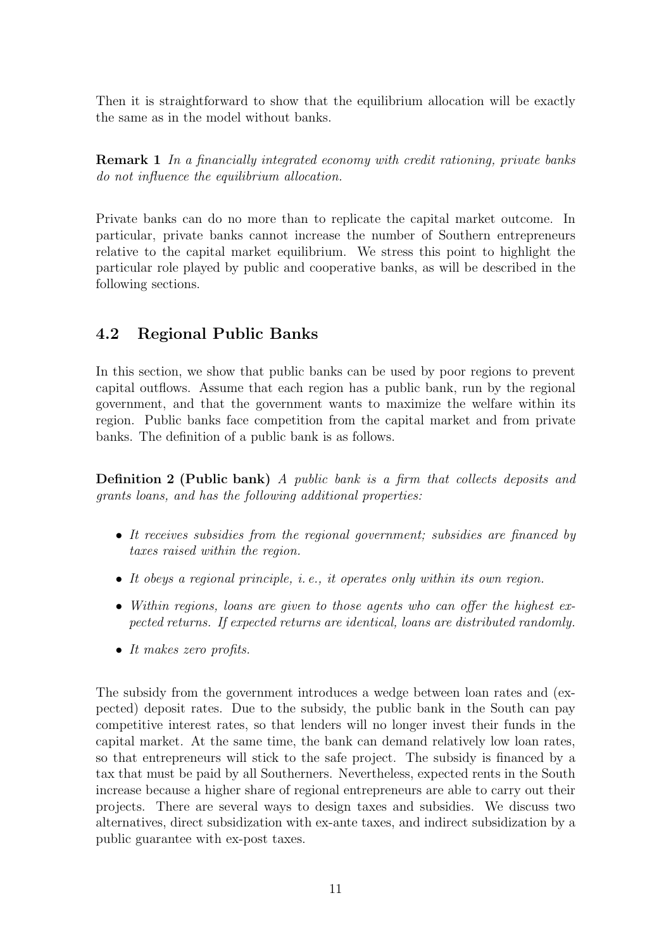Then it is straightforward to show that the equilibrium allocation will be exactly the same as in the model without banks.

**Remark 1** In a financially integrated economy with credit rationing, private banks do not influence the equilibrium allocation.

Private banks can do no more than to replicate the capital market outcome. In particular, private banks cannot increase the number of Southern entrepreneurs relative to the capital market equilibrium. We stress this point to highlight the particular role played by public and cooperative banks, as will be described in the following sections.

## **4.2 Regional Public Banks**

In this section, we show that public banks can be used by poor regions to prevent capital outflows. Assume that each region has a public bank, run by the regional government, and that the government wants to maximize the welfare within its region. Public banks face competition from the capital market and from private banks. The definition of a public bank is as follows.

**Definition 2 (Public bank)** A public bank is a firm that collects deposits and grants loans, and has the following additional properties:

- It receives subsidies from the regional government; subsidies are financed by taxes raised within the region.
- It obeys a regional principle, i. e., it operates only within its own region.
- Within regions, loans are given to those agents who can offer the highest expected returns. If expected returns are identical, loans are distributed randomly.
- It makes zero profits.

The subsidy from the government introduces a wedge between loan rates and (expected) deposit rates. Due to the subsidy, the public bank in the South can pay competitive interest rates, so that lenders will no longer invest their funds in the capital market. At the same time, the bank can demand relatively low loan rates, so that entrepreneurs will stick to the safe project. The subsidy is financed by a tax that must be paid by all Southerners. Nevertheless, expected rents in the South increase because a higher share of regional entrepreneurs are able to carry out their projects. There are several ways to design taxes and subsidies. We discuss two alternatives, direct subsidization with ex-ante taxes, and indirect subsidization by a public guarantee with ex-post taxes.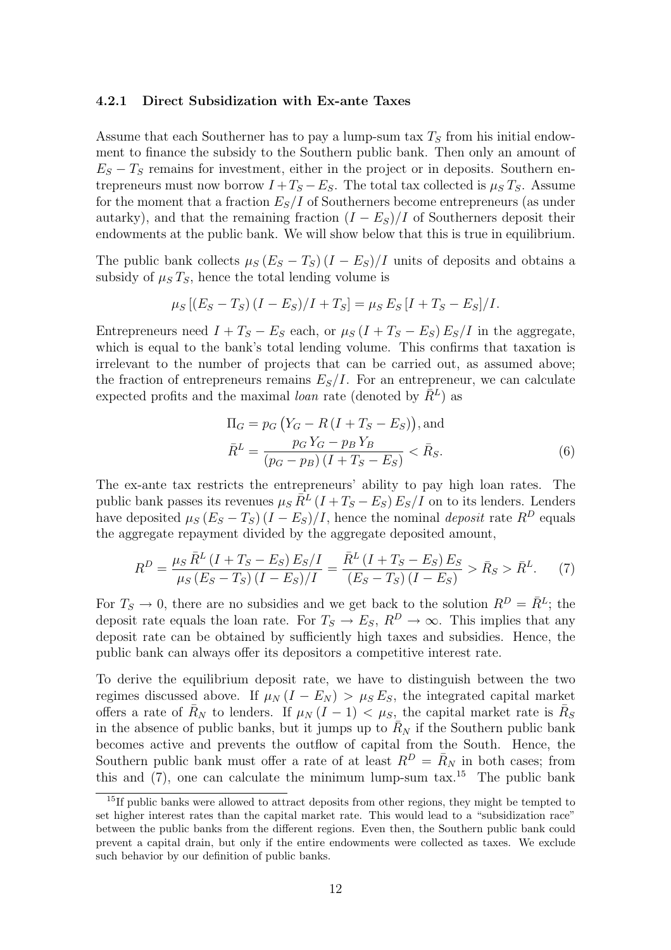#### **4.2.1 Direct Subsidization with Ex-ante Taxes**

Assume that each Southerner has to pay a lump-sum tax T*<sup>S</sup>* from his initial endowment to finance the subsidy to the Southern public bank. Then only an amount of  $E_S - T_S$  remains for investment, either in the project or in deposits. Southern entrepreneurs must now borrow  $I + T_S - E_S$ . The total tax collected is  $\mu_S T_S$ . Assume for the moment that a fraction E*S*/I of Southerners become entrepreneurs (as under autarky), and that the remaining fraction  $(I - E<sub>S</sub>)/I$  of Southerners deposit their endowments at the public bank. We will show below that this is true in equilibrium.

The public bank collects  $\mu_S (E_S - T_S) (I - E_S)/I$  units of deposits and obtains a subsidy of  $\mu_S T_S$ , hence the total lending volume is

$$
\mu_S [(E_S - T_S) (I - E_S)/I + T_S] = \mu_S E_S [I + T_S - E_S]/I.
$$

Entrepreneurs need  $I + T_S - E_S$  each, or  $\mu_S (I + T_S - E_S) E_S / I$  in the aggregate, which is equal to the bank's total lending volume. This confirms that taxation is irrelevant to the number of projects that can be carried out, as assumed above; the fraction of entrepreneurs remains  $E<sub>S</sub>/I$ . For an entrepreneur, we can calculate expected profits and the maximal *loan* rate (denoted by  $\bar{R}^L$ ) as

$$
\Pi_G = p_G \left( Y_G - R \left( I + T_S - E_S \right) \right), \text{and}
$$
\n
$$
\bar{R}^L = \frac{p_G Y_G - p_B Y_B}{\left( p_G - p_B \right) \left( I + T_S - E_S \right)} < \bar{R}_S. \tag{6}
$$

The ex-ante tax restricts the entrepreneurs' ability to pay high loan rates. The public bank passes its revenues  $\mu_S \bar{R}^L (I + T_S - E_S) E_S / I$  on to its lenders. Lenders have deposited  $\mu_S (E_S - T_S) (I - E_S) / I$ , hence the nominal *deposit* rate  $R^D$  equals the aggregate repayment divided by the aggregate deposited amount,

$$
R^{D} = \frac{\mu_{S} \bar{R}^{L} (I + T_{S} - E_{S}) E_{S} / I}{\mu_{S} (E_{S} - T_{S}) (I - E_{S}) / I} = \frac{\bar{R}^{L} (I + T_{S} - E_{S}) E_{S}}{(E_{S} - T_{S}) (I - E_{S})} > \bar{R}_{S} > \bar{R}^{L}.
$$
 (7)

For  $T_S \to 0$ , there are no subsidies and we get back to the solution  $R^D = \overline{R}^L$ ; the deposit rate equals the loan rate. For  $T_S \rightarrow E_S$ ,  $R^D \rightarrow \infty$ . This implies that any deposit rate can be obtained by sufficiently high taxes and subsidies. Hence, the public bank can always offer its depositors a competitive interest rate.

To derive the equilibrium deposit rate, we have to distinguish between the two regimes discussed above. If  $\mu_N (I - E_N) > \mu_S E_S$ , the integrated capital market offers a rate of  $\bar{R}_N$  to lenders. If  $\mu_N (I - 1) < \mu_S$ , the capital market rate is  $\bar{R}_S$ in the absence of public banks, but it jumps up to  $\bar{R}_N$  if the Southern public bank becomes active and prevents the outflow of capital from the South. Hence, the Southern public bank must offer a rate of at least  $R^D = \overline{R}_N$  in both cases; from this and  $(7)$ , one can calculate the minimum lump-sum tax.<sup>15</sup> The public bank

<sup>&</sup>lt;sup>15</sup>If public banks were allowed to attract deposits from other regions, they might be tempted to set higher interest rates than the capital market rate. This would lead to a "subsidization race" between the public banks from the different regions. Even then, the Southern public bank could prevent a capital drain, but only if the entire endowments were collected as taxes. We exclude such behavior by our definition of public banks.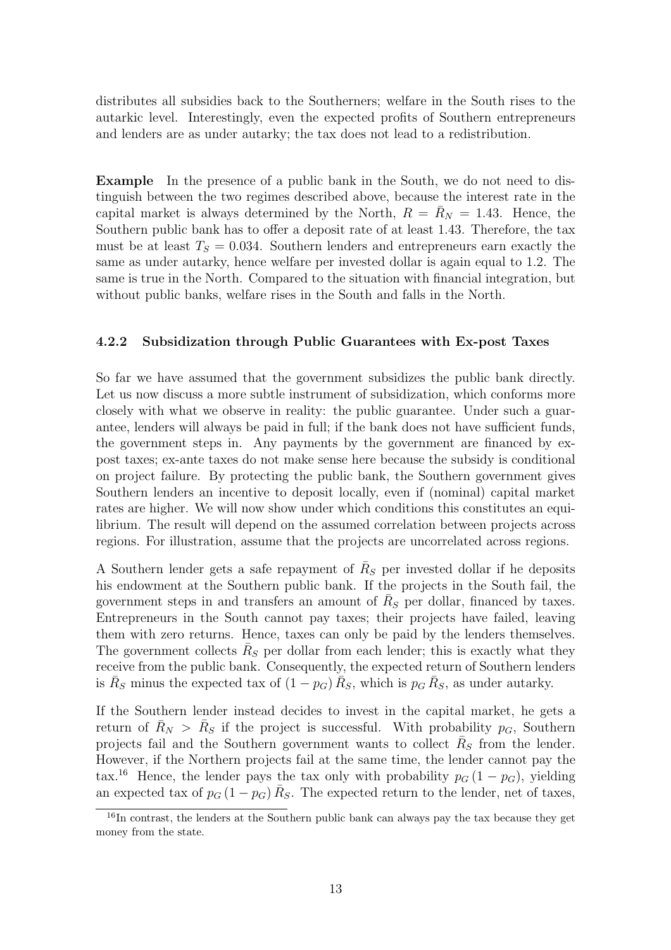distributes all subsidies back to the Southerners; welfare in the South rises to the autarkic level. Interestingly, even the expected profits of Southern entrepreneurs and lenders are as under autarky; the tax does not lead to a redistribution.

**Example** In the presence of a public bank in the South, we do not need to distinguish between the two regimes described above, because the interest rate in the capital market is always determined by the North,  $R = R_N = 1.43$ . Hence, the Southern public bank has to offer a deposit rate of at least 1.43. Therefore, the tax must be at least  $T<sub>S</sub> = 0.034$ . Southern lenders and entrepreneurs earn exactly the same as under autarky, hence welfare per invested dollar is again equal to 1.2. The same is true in the North. Compared to the situation with financial integration, but without public banks, welfare rises in the South and falls in the North.

#### **4.2.2 Subsidization through Public Guarantees with Ex-post Taxes**

So far we have assumed that the government subsidizes the public bank directly. Let us now discuss a more subtle instrument of subsidization, which conforms more closely with what we observe in reality: the public guarantee. Under such a guarantee, lenders will always be paid in full; if the bank does not have sufficient funds, the government steps in. Any payments by the government are financed by expost taxes; ex-ante taxes do not make sense here because the subsidy is conditional on project failure. By protecting the public bank, the Southern government gives Southern lenders an incentive to deposit locally, even if (nominal) capital market rates are higher. We will now show under which conditions this constitutes an equilibrium. The result will depend on the assumed correlation between projects across regions. For illustration, assume that the projects are uncorrelated across regions.

A Southern lender gets a safe repayment of  $\bar{R}_S$  per invested dollar if he deposits his endowment at the Southern public bank. If the projects in the South fail, the government steps in and transfers an amount of  $R<sub>S</sub>$  per dollar, financed by taxes. Entrepreneurs in the South cannot pay taxes; their projects have failed, leaving them with zero returns. Hence, taxes can only be paid by the lenders themselves. The government collects  $R<sub>S</sub>$  per dollar from each lender; this is exactly what they receive from the public bank. Consequently, the expected return of Southern lenders is  $R_S$  minus the expected tax of  $(1 - p_G) R_S$ , which is  $p_G R_S$ , as under autarky.

If the Southern lender instead decides to invest in the capital market, he gets a return of  $R_N > R_S$  if the project is successful. With probability  $p_G$ , Southern projects fail and the Southern government wants to collect  $\bar{R}_S$  from the lender. However, if the Northern projects fail at the same time, the lender cannot pay the tax.<sup>16</sup> Hence, the lender pays the tax only with probability  $p_G(1 - p_G)$ , yielding an expected tax of  $p_G(1 - p_G) R_S$ . The expected return to the lender, net of taxes,

<sup>&</sup>lt;sup>16</sup>In contrast, the lenders at the Southern public bank can always pay the tax because they get money from the state.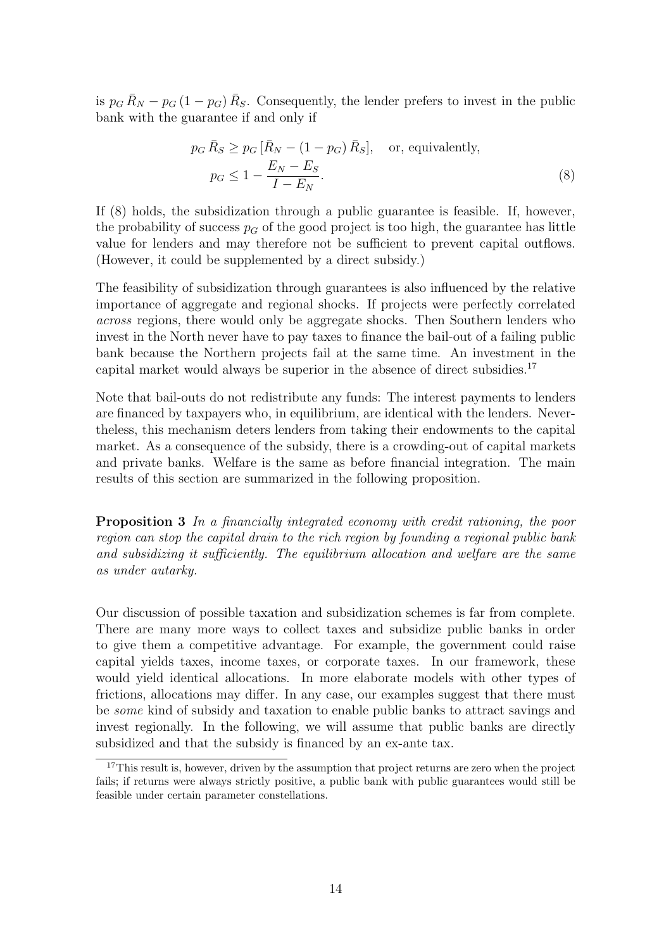is  $p_G R_N - p_G (1 - p_G) R_S$ . Consequently, the lender prefers to invest in the public bank with the guarantee if and only if

$$
p_G \overline{R}_S \ge p_G [\overline{R}_N - (1 - p_G) \overline{R}_S],
$$
 or, equivalently,  
 $p_G \le 1 - \frac{E_N - E_S}{I - E_N}.$  (8)

If (8) holds, the subsidization through a public guarantee is feasible. If, however, the probability of success  $p<sub>G</sub>$  of the good project is too high, the guarantee has little value for lenders and may therefore not be sufficient to prevent capital outflows. (However, it could be supplemented by a direct subsidy.)

The feasibility of subsidization through guarantees is also influenced by the relative importance of aggregate and regional shocks. If projects were perfectly correlated across regions, there would only be aggregate shocks. Then Southern lenders who invest in the North never have to pay taxes to finance the bail-out of a failing public bank because the Northern projects fail at the same time. An investment in the capital market would always be superior in the absence of direct subsidies.<sup>17</sup>

Note that bail-outs do not redistribute any funds: The interest payments to lenders are financed by taxpayers who, in equilibrium, are identical with the lenders. Nevertheless, this mechanism deters lenders from taking their endowments to the capital market. As a consequence of the subsidy, there is a crowding-out of capital markets and private banks. Welfare is the same as before financial integration. The main results of this section are summarized in the following proposition.

**Proposition 3** In a financially integrated economy with credit rationing, the poor region can stop the capital drain to the rich region by founding a regional public bank and subsidizing it sufficiently. The equilibrium allocation and welfare are the same as under autarky.

Our discussion of possible taxation and subsidization schemes is far from complete. There are many more ways to collect taxes and subsidize public banks in order to give them a competitive advantage. For example, the government could raise capital yields taxes, income taxes, or corporate taxes. In our framework, these would yield identical allocations. In more elaborate models with other types of frictions, allocations may differ. In any case, our examples suggest that there must be some kind of subsidy and taxation to enable public banks to attract savings and invest regionally. In the following, we will assume that public banks are directly subsidized and that the subsidy is financed by an ex-ante tax.

<sup>&</sup>lt;sup>17</sup>This result is, however, driven by the assumption that project returns are zero when the project fails; if returns were always strictly positive, a public bank with public guarantees would still be feasible under certain parameter constellations.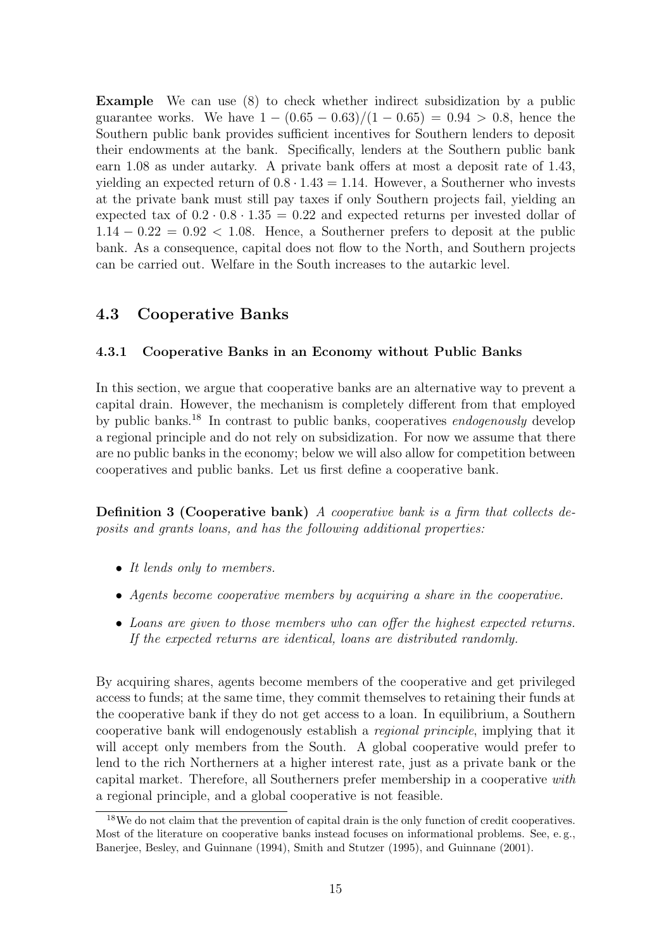**Example** We can use (8) to check whether indirect subsidization by a public guarantee works. We have  $1 - (0.65 - 0.63)/(1 - 0.65) = 0.94 > 0.8$ , hence the Southern public bank provides sufficient incentives for Southern lenders to deposit their endowments at the bank. Specifically, lenders at the Southern public bank earn 1.08 as under autarky. A private bank offers at most a deposit rate of 1.43, yielding an expected return of  $0.8 \cdot 1.43 = 1.14$ . However, a Southerner who invests at the private bank must still pay taxes if only Southern projects fail, yielding an expected tax of  $0.2 \cdot 0.8 \cdot 1.35 = 0.22$  and expected returns per invested dollar of  $1.14 - 0.22 = 0.92 < 1.08$ . Hence, a Southerner prefers to deposit at the public bank. As a consequence, capital does not flow to the North, and Southern projects can be carried out. Welfare in the South increases to the autarkic level.

## **4.3 Cooperative Banks**

#### **4.3.1 Cooperative Banks in an Economy without Public Banks**

In this section, we argue that cooperative banks are an alternative way to prevent a capital drain. However, the mechanism is completely different from that employed by public banks.<sup>18</sup> In contrast to public banks, cooperatives endogenously develop a regional principle and do not rely on subsidization. For now we assume that there are no public banks in the economy; below we will also allow for competition between cooperatives and public banks. Let us first define a cooperative bank.

**Definition 3 (Cooperative bank)** A cooperative bank is a firm that collects deposits and grants loans, and has the following additional properties:

- It lends only to members.
- Agents become cooperative members by acquiring a share in the cooperative.
- Loans are given to those members who can offer the highest expected returns. If the expected returns are identical, loans are distributed randomly.

By acquiring shares, agents become members of the cooperative and get privileged access to funds; at the same time, they commit themselves to retaining their funds at the cooperative bank if they do not get access to a loan. In equilibrium, a Southern cooperative bank will endogenously establish a regional principle, implying that it will accept only members from the South. A global cooperative would prefer to lend to the rich Northerners at a higher interest rate, just as a private bank or the capital market. Therefore, all Southerners prefer membership in a cooperative with a regional principle, and a global cooperative is not feasible.

<sup>&</sup>lt;sup>18</sup>We do not claim that the prevention of capital drain is the only function of credit cooperatives. Most of the literature on cooperative banks instead focuses on informational problems. See, e.g., Banerjee, Besley, and Guinnane (1994), Smith and Stutzer (1995), and Guinnane (2001).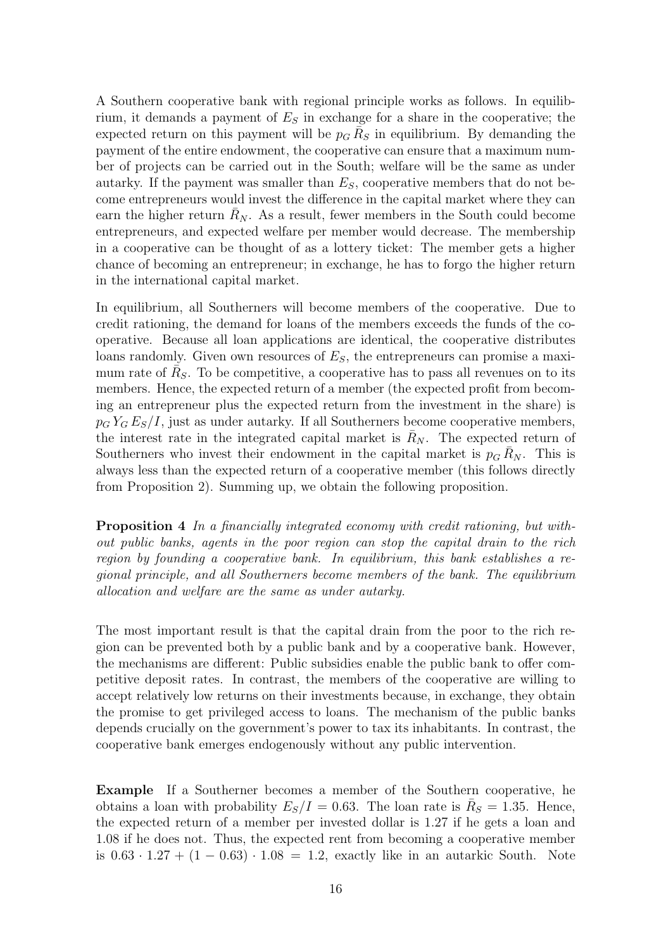A Southern cooperative bank with regional principle works as follows. In equilibrium, it demands a payment of E*<sup>S</sup>* in exchange for a share in the cooperative; the expected return on this payment will be  $p_G R_S$  in equilibrium. By demanding the payment of the entire endowment, the cooperative can ensure that a maximum number of projects can be carried out in the South; welfare will be the same as under autarky. If the payment was smaller than E*S*, cooperative members that do not become entrepreneurs would invest the difference in the capital market where they can earn the higher return  $\bar{R}_N$ . As a result, fewer members in the South could become entrepreneurs, and expected welfare per member would decrease. The membership in a cooperative can be thought of as a lottery ticket: The member gets a higher chance of becoming an entrepreneur; in exchange, he has to forgo the higher return in the international capital market.

In equilibrium, all Southerners will become members of the cooperative. Due to credit rationing, the demand for loans of the members exceeds the funds of the cooperative. Because all loan applications are identical, the cooperative distributes loans randomly. Given own resources of E*S*, the entrepreneurs can promise a maximum rate of  $R<sub>S</sub>$ . To be competitive, a cooperative has to pass all revenues on to its members. Hence, the expected return of a member (the expected profit from becoming an entrepreneur plus the expected return from the investment in the share) is  $p_G Y_G E_S/I$ , just as under autarky. If all Southerners become cooperative members, the interest rate in the integrated capital market is  $\bar{R}_N$ . The expected return of Southerners who invest their endowment in the capital market is  $p_G R_N$ . This is always less than the expected return of a cooperative member (this follows directly from Proposition 2). Summing up, we obtain the following proposition.

**Proposition 4** In a financially integrated economy with credit rationing, but without public banks, agents in the poor region can stop the capital drain to the rich region by founding a cooperative bank. In equilibrium, this bank establishes a regional principle, and all Southerners become members of the bank. The equilibrium allocation and welfare are the same as under autarky.

The most important result is that the capital drain from the poor to the rich region can be prevented both by a public bank and by a cooperative bank. However, the mechanisms are different: Public subsidies enable the public bank to offer competitive deposit rates. In contrast, the members of the cooperative are willing to accept relatively low returns on their investments because, in exchange, they obtain the promise to get privileged access to loans. The mechanism of the public banks depends crucially on the government's power to tax its inhabitants. In contrast, the cooperative bank emerges endogenously without any public intervention.

**Example** If a Southerner becomes a member of the Southern cooperative, he obtains a loan with probability  $E_S/I = 0.63$ . The loan rate is  $\bar{R}_S = 1.35$ . Hence, the expected return of a member per invested dollar is 1.27 if he gets a loan and 1.08 if he does not. Thus, the expected rent from becoming a cooperative member is  $0.63 \cdot 1.27 + (1 - 0.63) \cdot 1.08 = 1.2$ , exactly like in an autarkic South. Note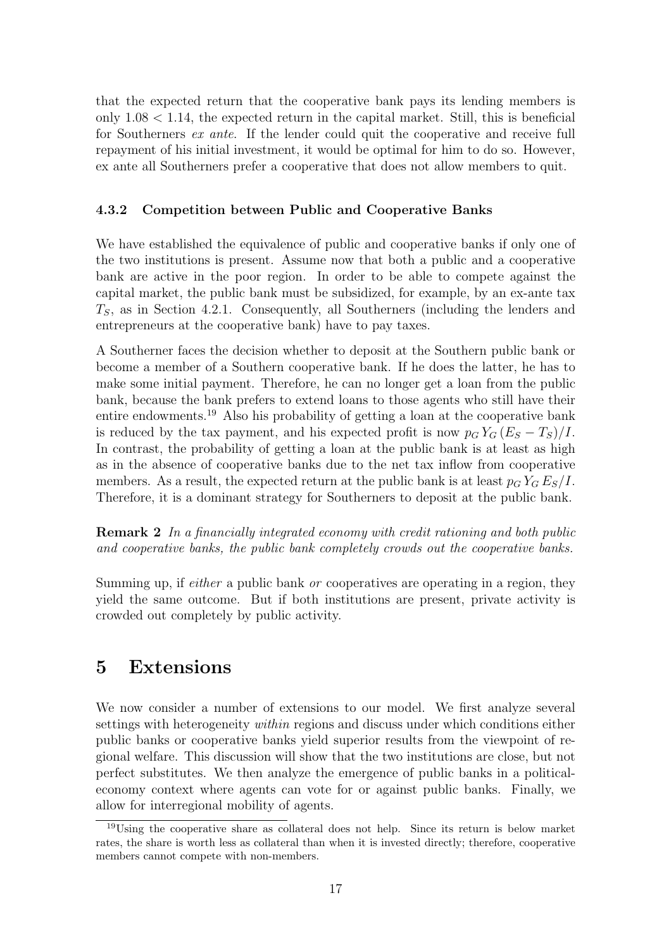that the expected return that the cooperative bank pays its lending members is only  $1.08 < 1.14$ , the expected return in the capital market. Still, this is beneficial for Southerners ex ante. If the lender could quit the cooperative and receive full repayment of his initial investment, it would be optimal for him to do so. However, ex ante all Southerners prefer a cooperative that does not allow members to quit.

#### **4.3.2 Competition between Public and Cooperative Banks**

We have established the equivalence of public and cooperative banks if only one of the two institutions is present. Assume now that both a public and a cooperative bank are active in the poor region. In order to be able to compete against the capital market, the public bank must be subsidized, for example, by an ex-ante tax T*S*, as in Section 4.2.1. Consequently, all Southerners (including the lenders and entrepreneurs at the cooperative bank) have to pay taxes.

A Southerner faces the decision whether to deposit at the Southern public bank or become a member of a Southern cooperative bank. If he does the latter, he has to make some initial payment. Therefore, he can no longer get a loan from the public bank, because the bank prefers to extend loans to those agents who still have their entire endowments.<sup>19</sup> Also his probability of getting a loan at the cooperative bank is reduced by the tax payment, and his expected profit is now  $p_G Y_G (E_S - T_S)/I$ . In contrast, the probability of getting a loan at the public bank is at least as high as in the absence of cooperative banks due to the net tax inflow from cooperative members. As a result, the expected return at the public bank is at least  $p_G Y_G E_S/I$ . Therefore, it is a dominant strategy for Southerners to deposit at the public bank.

**Remark 2** In a financially integrated economy with credit rationing and both public and cooperative banks, the public bank completely crowds out the cooperative banks.

Summing up, if *either* a public bank *or* cooperatives are operating in a region, they yield the same outcome. But if both institutions are present, private activity is crowded out completely by public activity.

# **5 Extensions**

We now consider a number of extensions to our model. We first analyze several settings with heterogeneity within regions and discuss under which conditions either public banks or cooperative banks yield superior results from the viewpoint of regional welfare. This discussion will show that the two institutions are close, but not perfect substitutes. We then analyze the emergence of public banks in a politicaleconomy context where agents can vote for or against public banks. Finally, we allow for interregional mobility of agents.

<sup>19</sup>Using the cooperative share as collateral does not help. Since its return is below market rates, the share is worth less as collateral than when it is invested directly; therefore, cooperative members cannot compete with non-members.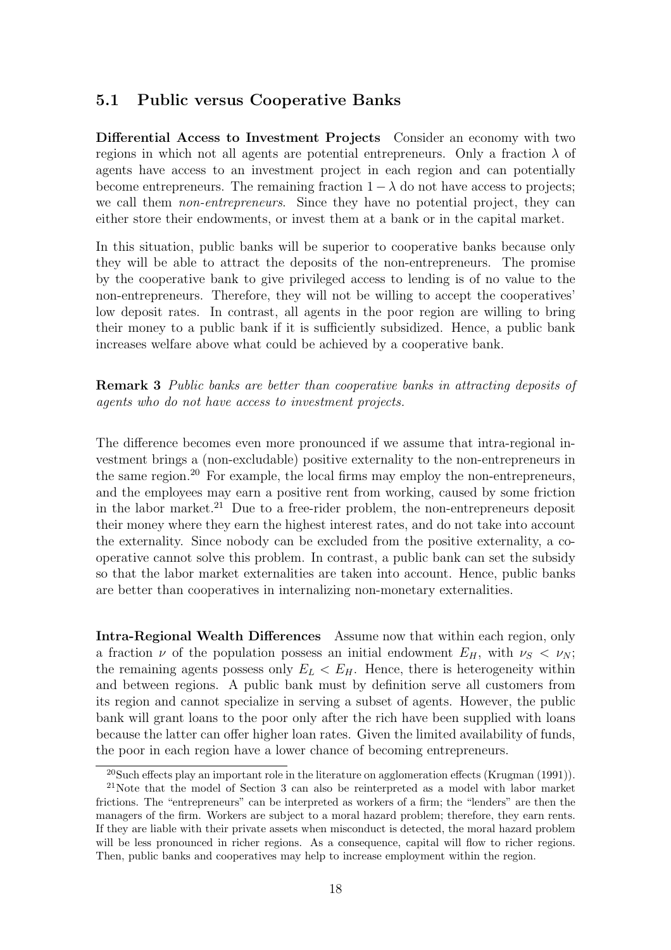### **5.1 Public versus Cooperative Banks**

**Differential Access to Investment Projects** Consider an economy with two regions in which not all agents are potential entrepreneurs. Only a fraction  $\lambda$  of agents have access to an investment project in each region and can potentially become entrepreneurs. The remaining fraction  $1 - \lambda$  do not have access to projects; we call them *non-entrepreneurs*. Since they have no potential project, they can either store their endowments, or invest them at a bank or in the capital market.

In this situation, public banks will be superior to cooperative banks because only they will be able to attract the deposits of the non-entrepreneurs. The promise by the cooperative bank to give privileged access to lending is of no value to the non-entrepreneurs. Therefore, they will not be willing to accept the cooperatives' low deposit rates. In contrast, all agents in the poor region are willing to bring their money to a public bank if it is sufficiently subsidized. Hence, a public bank increases welfare above what could be achieved by a cooperative bank.

**Remark 3** Public banks are better than cooperative banks in attracting deposits of agents who do not have access to investment projects.

The difference becomes even more pronounced if we assume that intra-regional investment brings a (non-excludable) positive externality to the non-entrepreneurs in the same region.<sup>20</sup> For example, the local firms may employ the non-entrepreneurs, and the employees may earn a positive rent from working, caused by some friction in the labor market.<sup>21</sup> Due to a free-rider problem, the non-entrepreneurs deposit their money where they earn the highest interest rates, and do not take into account the externality. Since nobody can be excluded from the positive externality, a cooperative cannot solve this problem. In contrast, a public bank can set the subsidy so that the labor market externalities are taken into account. Hence, public banks are better than cooperatives in internalizing non-monetary externalities.

**Intra-Regional Wealth Differences** Assume now that within each region, only a fraction  $\nu$  of the population possess an initial endowment  $E_H$ , with  $\nu_S < \nu_N$ ; the remaining agents possess only  $E_L < E_H$ . Hence, there is heterogeneity within and between regions. A public bank must by definition serve all customers from its region and cannot specialize in serving a subset of agents. However, the public bank will grant loans to the poor only after the rich have been supplied with loans because the latter can offer higher loan rates. Given the limited availability of funds, the poor in each region have a lower chance of becoming entrepreneurs.

<sup>&</sup>lt;sup>20</sup>Such effects play an important role in the literature on agglomeration effects (Krugman (1991)). <sup>21</sup>Note that the model of Section 3 can also be reinterpreted as a model with labor market frictions. The "entrepreneurs" can be interpreted as workers of a firm; the "lenders" are then the managers of the firm. Workers are subject to a moral hazard problem; therefore, they earn rents. If they are liable with their private assets when misconduct is detected, the moral hazard problem will be less pronounced in richer regions. As a consequence, capital will flow to richer regions. Then, public banks and cooperatives may help to increase employment within the region.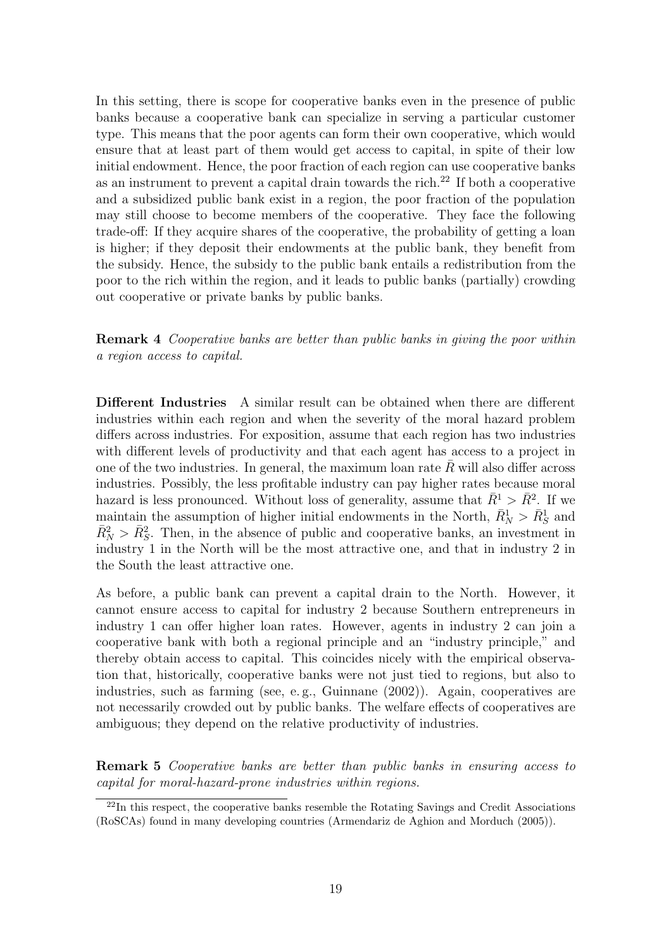In this setting, there is scope for cooperative banks even in the presence of public banks because a cooperative bank can specialize in serving a particular customer type. This means that the poor agents can form their own cooperative, which would ensure that at least part of them would get access to capital, in spite of their low initial endowment. Hence, the poor fraction of each region can use cooperative banks as an instrument to prevent a capital drain towards the rich.<sup>22</sup> If both a cooperative and a subsidized public bank exist in a region, the poor fraction of the population may still choose to become members of the cooperative. They face the following trade-off: If they acquire shares of the cooperative, the probability of getting a loan is higher; if they deposit their endowments at the public bank, they benefit from the subsidy. Hence, the subsidy to the public bank entails a redistribution from the poor to the rich within the region, and it leads to public banks (partially) crowding out cooperative or private banks by public banks.

**Remark 4** Cooperative banks are better than public banks in giving the poor within a region access to capital.

**Different Industries** A similar result can be obtained when there are different industries within each region and when the severity of the moral hazard problem differs across industries. For exposition, assume that each region has two industries with different levels of productivity and that each agent has access to a project in one of the two industries. In general, the maximum loan rate  $R$  will also differ across industries. Possibly, the less profitable industry can pay higher rates because moral hazard is less pronounced. Without loss of generality, assume that  $\bar{R}^1 > \bar{R}^2$ . If we maintain the assumption of higher initial endowments in the North,  $\bar{R}_{N}^{1} > \bar{R}_{S}^{1}$  and  $\bar{R}_N^2 > \bar{R}_S^2$ . Then, in the absence of public and cooperative banks, an investment in industry 1 in the North will be the most attractive one, and that in industry 2 in the South the least attractive one.

As before, a public bank can prevent a capital drain to the North. However, it cannot ensure access to capital for industry 2 because Southern entrepreneurs in industry 1 can offer higher loan rates. However, agents in industry 2 can join a cooperative bank with both a regional principle and an "industry principle," and thereby obtain access to capital. This coincides nicely with the empirical observation that, historically, cooperative banks were not just tied to regions, but also to industries, such as farming (see, e. g., Guinnane (2002)). Again, cooperatives are not necessarily crowded out by public banks. The welfare effects of cooperatives are ambiguous; they depend on the relative productivity of industries.

**Remark 5** Cooperative banks are better than public banks in ensuring access to capital for moral-hazard-prone industries within regions.

 $^{22}$ In this respect, the cooperative banks resemble the Rotating Savings and Credit Associations (RoSCAs) found in many developing countries (Armendariz de Aghion and Morduch (2005)).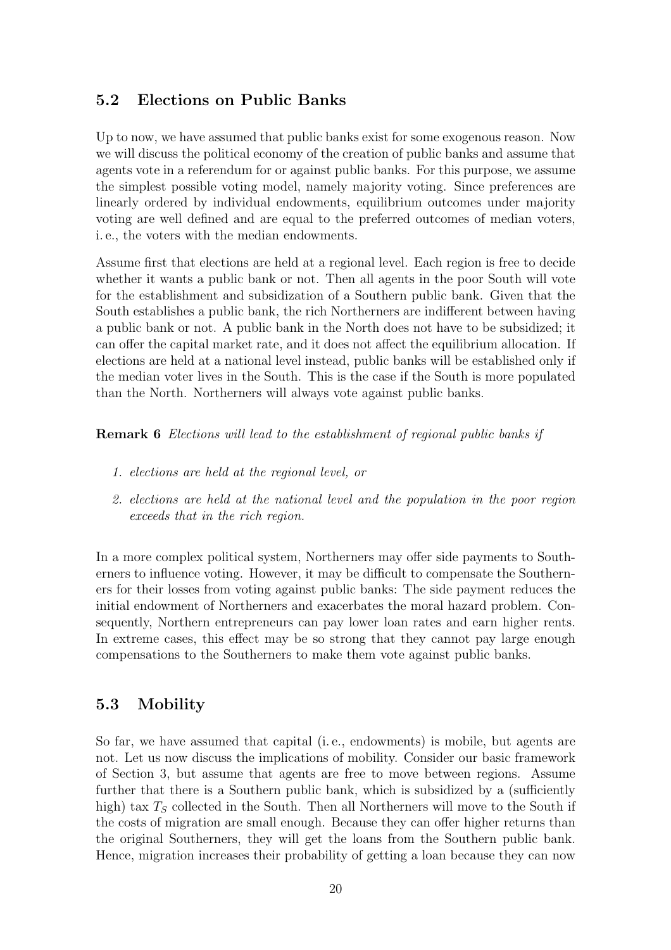## **5.2 Elections on Public Banks**

Up to now, we have assumed that public banks exist for some exogenous reason. Now we will discuss the political economy of the creation of public banks and assume that agents vote in a referendum for or against public banks. For this purpose, we assume the simplest possible voting model, namely majority voting. Since preferences are linearly ordered by individual endowments, equilibrium outcomes under majority voting are well defined and are equal to the preferred outcomes of median voters, i. e., the voters with the median endowments.

Assume first that elections are held at a regional level. Each region is free to decide whether it wants a public bank or not. Then all agents in the poor South will vote for the establishment and subsidization of a Southern public bank. Given that the South establishes a public bank, the rich Northerners are indifferent between having a public bank or not. A public bank in the North does not have to be subsidized; it can offer the capital market rate, and it does not affect the equilibrium allocation. If elections are held at a national level instead, public banks will be established only if the median voter lives in the South. This is the case if the South is more populated than the North. Northerners will always vote against public banks.

**Remark 6** Elections will lead to the establishment of regional public banks if

- 1. elections are held at the regional level, or
- 2. elections are held at the national level and the population in the poor region exceeds that in the rich region.

In a more complex political system, Northerners may offer side payments to Southerners to influence voting. However, it may be difficult to compensate the Southerners for their losses from voting against public banks: The side payment reduces the initial endowment of Northerners and exacerbates the moral hazard problem. Consequently, Northern entrepreneurs can pay lower loan rates and earn higher rents. In extreme cases, this effect may be so strong that they cannot pay large enough compensations to the Southerners to make them vote against public banks.

### **5.3 Mobility**

So far, we have assumed that capital (i. e., endowments) is mobile, but agents are not. Let us now discuss the implications of mobility. Consider our basic framework of Section 3, but assume that agents are free to move between regions. Assume further that there is a Southern public bank, which is subsidized by a (sufficiently high) tax  $T<sub>S</sub>$  collected in the South. Then all Northerners will move to the South if the costs of migration are small enough. Because they can offer higher returns than the original Southerners, they will get the loans from the Southern public bank. Hence, migration increases their probability of getting a loan because they can now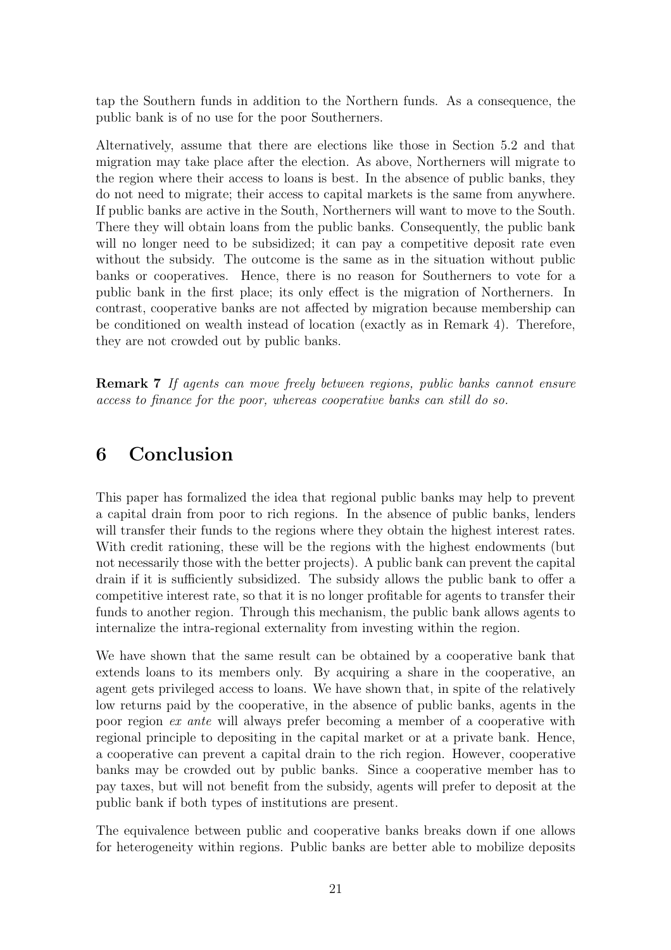tap the Southern funds in addition to the Northern funds. As a consequence, the public bank is of no use for the poor Southerners.

Alternatively, assume that there are elections like those in Section 5.2 and that migration may take place after the election. As above, Northerners will migrate to the region where their access to loans is best. In the absence of public banks, they do not need to migrate; their access to capital markets is the same from anywhere. If public banks are active in the South, Northerners will want to move to the South. There they will obtain loans from the public banks. Consequently, the public bank will no longer need to be subsidized; it can pay a competitive deposit rate even without the subsidy. The outcome is the same as in the situation without public banks or cooperatives. Hence, there is no reason for Southerners to vote for a public bank in the first place; its only effect is the migration of Northerners. In contrast, cooperative banks are not affected by migration because membership can be conditioned on wealth instead of location (exactly as in Remark 4). Therefore, they are not crowded out by public banks.

**Remark 7** If agents can move freely between regions, public banks cannot ensure access to finance for the poor, whereas cooperative banks can still do so.

# **6 Conclusion**

This paper has formalized the idea that regional public banks may help to prevent a capital drain from poor to rich regions. In the absence of public banks, lenders will transfer their funds to the regions where they obtain the highest interest rates. With credit rationing, these will be the regions with the highest endowments (but not necessarily those with the better projects). A public bank can prevent the capital drain if it is sufficiently subsidized. The subsidy allows the public bank to offer a competitive interest rate, so that it is no longer profitable for agents to transfer their funds to another region. Through this mechanism, the public bank allows agents to internalize the intra-regional externality from investing within the region.

We have shown that the same result can be obtained by a cooperative bank that extends loans to its members only. By acquiring a share in the cooperative, an agent gets privileged access to loans. We have shown that, in spite of the relatively low returns paid by the cooperative, in the absence of public banks, agents in the poor region ex ante will always prefer becoming a member of a cooperative with regional principle to depositing in the capital market or at a private bank. Hence, a cooperative can prevent a capital drain to the rich region. However, cooperative banks may be crowded out by public banks. Since a cooperative member has to pay taxes, but will not benefit from the subsidy, agents will prefer to deposit at the public bank if both types of institutions are present.

The equivalence between public and cooperative banks breaks down if one allows for heterogeneity within regions. Public banks are better able to mobilize deposits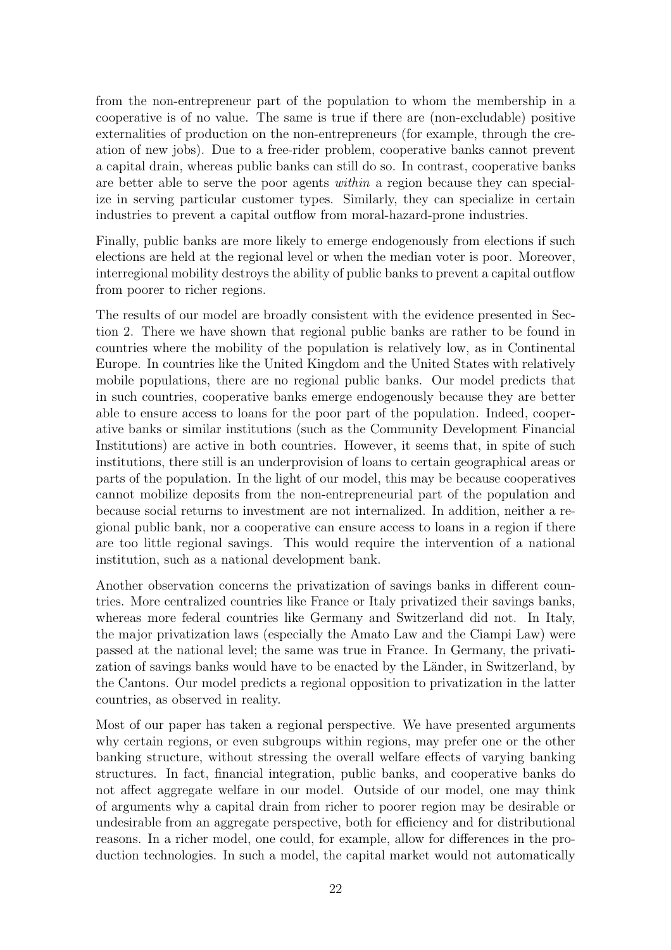from the non-entrepreneur part of the population to whom the membership in a cooperative is of no value. The same is true if there are (non-excludable) positive externalities of production on the non-entrepreneurs (for example, through the creation of new jobs). Due to a free-rider problem, cooperative banks cannot prevent a capital drain, whereas public banks can still do so. In contrast, cooperative banks are better able to serve the poor agents within a region because they can specialize in serving particular customer types. Similarly, they can specialize in certain industries to prevent a capital outflow from moral-hazard-prone industries.

Finally, public banks are more likely to emerge endogenously from elections if such elections are held at the regional level or when the median voter is poor. Moreover, interregional mobility destroys the ability of public banks to prevent a capital outflow from poorer to richer regions.

The results of our model are broadly consistent with the evidence presented in Section 2. There we have shown that regional public banks are rather to be found in countries where the mobility of the population is relatively low, as in Continental Europe. In countries like the United Kingdom and the United States with relatively mobile populations, there are no regional public banks. Our model predicts that in such countries, cooperative banks emerge endogenously because they are better able to ensure access to loans for the poor part of the population. Indeed, cooperative banks or similar institutions (such as the Community Development Financial Institutions) are active in both countries. However, it seems that, in spite of such institutions, there still is an underprovision of loans to certain geographical areas or parts of the population. In the light of our model, this may be because cooperatives cannot mobilize deposits from the non-entrepreneurial part of the population and because social returns to investment are not internalized. In addition, neither a regional public bank, nor a cooperative can ensure access to loans in a region if there are too little regional savings. This would require the intervention of a national institution, such as a national development bank.

Another observation concerns the privatization of savings banks in different countries. More centralized countries like France or Italy privatized their savings banks, whereas more federal countries like Germany and Switzerland did not. In Italy, the major privatization laws (especially the Amato Law and the Ciampi Law) were passed at the national level; the same was true in France. In Germany, the privatization of savings banks would have to be enacted by the Länder, in Switzerland, by the Cantons. Our model predicts a regional opposition to privatization in the latter countries, as observed in reality.

Most of our paper has taken a regional perspective. We have presented arguments why certain regions, or even subgroups within regions, may prefer one or the other banking structure, without stressing the overall welfare effects of varying banking structures. In fact, financial integration, public banks, and cooperative banks do not affect aggregate welfare in our model. Outside of our model, one may think of arguments why a capital drain from richer to poorer region may be desirable or undesirable from an aggregate perspective, both for efficiency and for distributional reasons. In a richer model, one could, for example, allow for differences in the production technologies. In such a model, the capital market would not automatically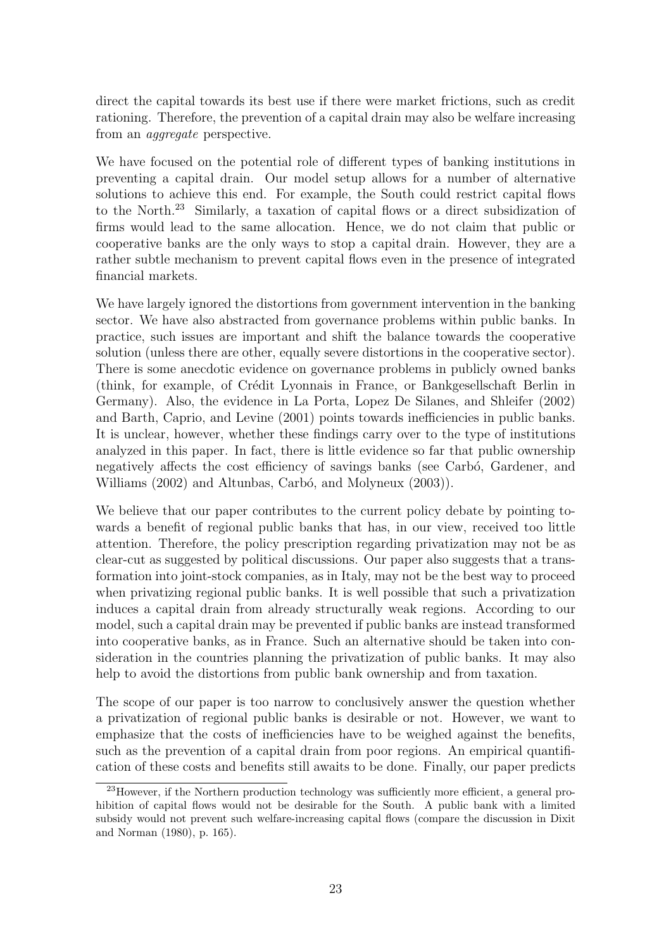direct the capital towards its best use if there were market frictions, such as credit rationing. Therefore, the prevention of a capital drain may also be welfare increasing from an *aggregate* perspective.

We have focused on the potential role of different types of banking institutions in preventing a capital drain. Our model setup allows for a number of alternative solutions to achieve this end. For example, the South could restrict capital flows to the North.<sup>23</sup> Similarly, a taxation of capital flows or a direct subsidization of firms would lead to the same allocation. Hence, we do not claim that public or cooperative banks are the only ways to stop a capital drain. However, they are a rather subtle mechanism to prevent capital flows even in the presence of integrated financial markets.

We have largely ignored the distortions from government intervention in the banking sector. We have also abstracted from governance problems within public banks. In practice, such issues are important and shift the balance towards the cooperative solution (unless there are other, equally severe distortions in the cooperative sector). There is some anecdotic evidence on governance problems in publicly owned banks (think, for example, of Crédit Lyonnais in France, or Bankgesellschaft Berlin in Germany). Also, the evidence in La Porta, Lopez De Silanes, and Shleifer (2002) and Barth, Caprio, and Levine (2001) points towards inefficiencies in public banks. It is unclear, however, whether these findings carry over to the type of institutions analyzed in this paper. In fact, there is little evidence so far that public ownership negatively affects the cost efficiency of savings banks (see Carbó, Gardener, and Williams (2002) and Altunbas, Carbó, and Molyneux (2003)).

We believe that our paper contributes to the current policy debate by pointing towards a benefit of regional public banks that has, in our view, received too little attention. Therefore, the policy prescription regarding privatization may not be as clear-cut as suggested by political discussions. Our paper also suggests that a transformation into joint-stock companies, as in Italy, may not be the best way to proceed when privatizing regional public banks. It is well possible that such a privatization induces a capital drain from already structurally weak regions. According to our model, such a capital drain may be prevented if public banks are instead transformed into cooperative banks, as in France. Such an alternative should be taken into consideration in the countries planning the privatization of public banks. It may also help to avoid the distortions from public bank ownership and from taxation.

The scope of our paper is too narrow to conclusively answer the question whether a privatization of regional public banks is desirable or not. However, we want to emphasize that the costs of inefficiencies have to be weighed against the benefits, such as the prevention of a capital drain from poor regions. An empirical quantification of these costs and benefits still awaits to be done. Finally, our paper predicts

<sup>&</sup>lt;sup>23</sup>However, if the Northern production technology was sufficiently more efficient, a general prohibition of capital flows would not be desirable for the South. A public bank with a limited subsidy would not prevent such welfare-increasing capital flows (compare the discussion in Dixit and Norman (1980), p. 165).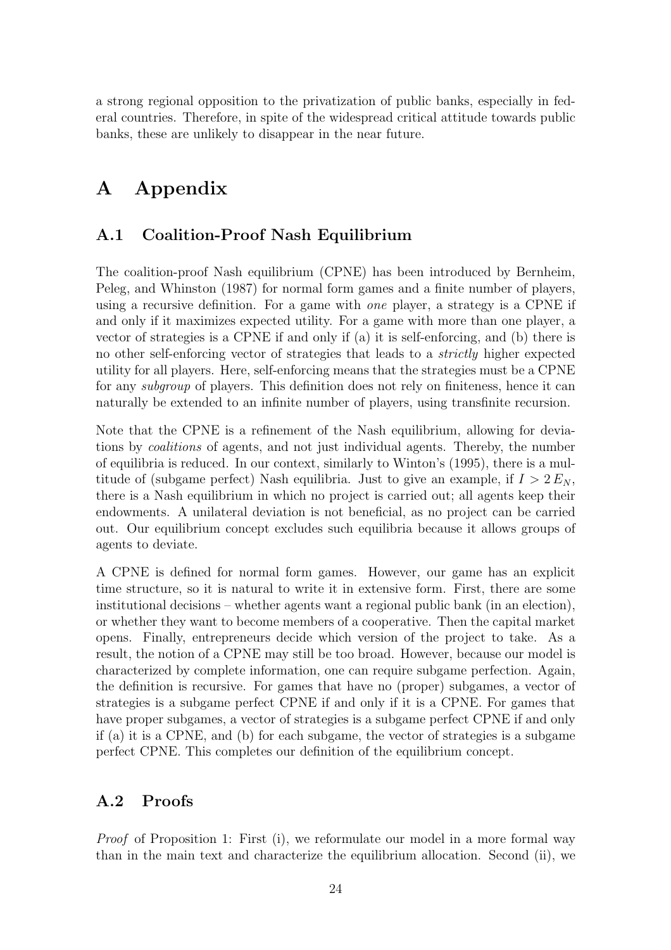a strong regional opposition to the privatization of public banks, especially in federal countries. Therefore, in spite of the widespread critical attitude towards public banks, these are unlikely to disappear in the near future.

# **A Appendix**

### **A.1 Coalition-Proof Nash Equilibrium**

The coalition-proof Nash equilibrium (CPNE) has been introduced by Bernheim, Peleg, and Whinston (1987) for normal form games and a finite number of players, using a recursive definition. For a game with one player, a strategy is a CPNE if and only if it maximizes expected utility. For a game with more than one player, a vector of strategies is a CPNE if and only if (a) it is self-enforcing, and (b) there is no other self-enforcing vector of strategies that leads to a strictly higher expected utility for all players. Here, self-enforcing means that the strategies must be a CPNE for any *subgroup* of players. This definition does not rely on finiteness, hence it can naturally be extended to an infinite number of players, using transfinite recursion.

Note that the CPNE is a refinement of the Nash equilibrium, allowing for deviations by coalitions of agents, and not just individual agents. Thereby, the number of equilibria is reduced. In our context, similarly to Winton's (1995), there is a multitude of (subgame perfect) Nash equilibria. Just to give an example, if  $I > 2E<sub>N</sub>$ , there is a Nash equilibrium in which no project is carried out; all agents keep their endowments. A unilateral deviation is not beneficial, as no project can be carried out. Our equilibrium concept excludes such equilibria because it allows groups of agents to deviate.

A CPNE is defined for normal form games. However, our game has an explicit time structure, so it is natural to write it in extensive form. First, there are some institutional decisions – whether agents want a regional public bank (in an election), or whether they want to become members of a cooperative. Then the capital market opens. Finally, entrepreneurs decide which version of the project to take. As a result, the notion of a CPNE may still be too broad. However, because our model is characterized by complete information, one can require subgame perfection. Again, the definition is recursive. For games that have no (proper) subgames, a vector of strategies is a subgame perfect CPNE if and only if it is a CPNE. For games that have proper subgames, a vector of strategies is a subgame perfect CPNE if and only if (a) it is a CPNE, and (b) for each subgame, the vector of strategies is a subgame perfect CPNE. This completes our definition of the equilibrium concept.

### **A.2 Proofs**

*Proof* of Proposition 1: First (i), we reformulate our model in a more formal way than in the main text and characterize the equilibrium allocation. Second (ii), we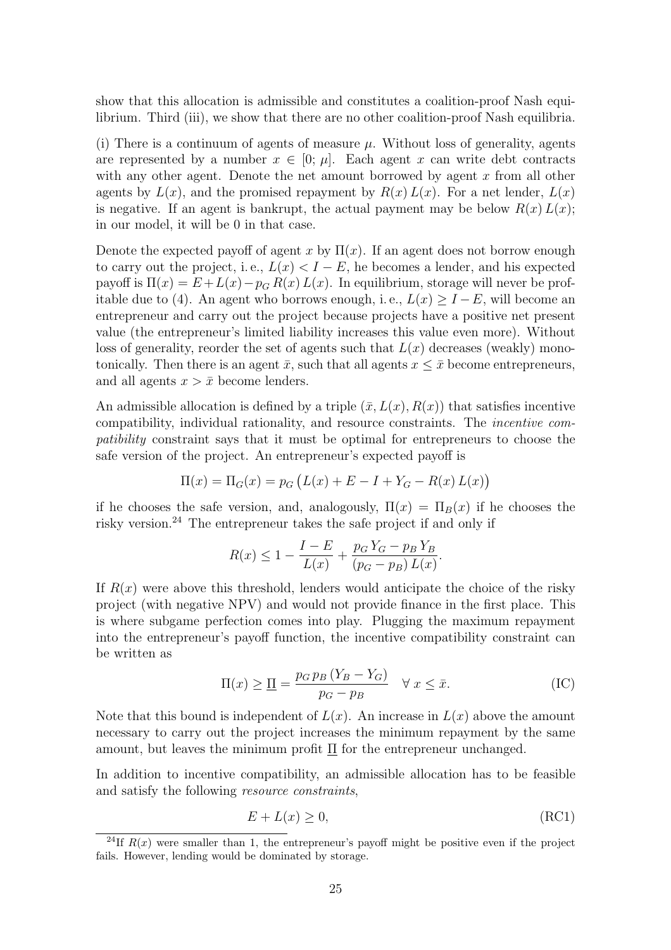show that this allocation is admissible and constitutes a coalition-proof Nash equilibrium. Third (iii), we show that there are no other coalition-proof Nash equilibria.

(i) There is a continuum of agents of measure  $\mu$ . Without loss of generality, agents are represented by a number  $x \in [0; \mu]$ . Each agent x can write debt contracts with any other agent. Denote the net amount borrowed by agent  $x$  from all other agents by  $L(x)$ , and the promised repayment by  $R(x) L(x)$ . For a net lender,  $L(x)$ is negative. If an agent is bankrupt, the actual payment may be below  $R(x) L(x)$ ; in our model, it will be 0 in that case.

Denote the expected payoff of agent x by  $\Pi(x)$ . If an agent does not borrow enough to carry out the project, i.e.,  $L(x) < I - E$ , he becomes a lender, and his expected payoff is  $\Pi(x) = E + L(x) - p_G R(x) L(x)$ . In equilibrium, storage will never be profitable due to (4). An agent who borrows enough, i.e.,  $L(x) \geq I - E$ , will become an entrepreneur and carry out the project because projects have a positive net present value (the entrepreneur's limited liability increases this value even more). Without loss of generality, reorder the set of agents such that  $L(x)$  decreases (weakly) monotonically. Then there is an agent  $\bar{x}$ , such that all agents  $x \leq \bar{x}$  become entrepreneurs, and all agents  $x > \bar{x}$  become lenders.

An admissible allocation is defined by a triple  $(\bar{x}, L(x), R(x))$  that satisfies incentive compatibility, individual rationality, and resource constraints. The incentive compatibility constraint says that it must be optimal for entrepreneurs to choose the safe version of the project. An entrepreneur's expected payoff is

$$
\Pi(x) = \Pi_G(x) = p_G(L(x) + E - I + Y_G - R(x)L(x))
$$

if he chooses the safe version, and, analogously,  $\Pi(x) = \Pi_B(x)$  if he chooses the risky version.<sup>24</sup> The entrepreneur takes the safe project if and only if

$$
R(x) \le 1 - \frac{I - E}{L(x)} + \frac{p_G Y_G - p_B Y_B}{(p_G - p_B) L(x)}.
$$

If  $R(x)$  were above this threshold, lenders would anticipate the choice of the risky project (with negative NPV) and would not provide finance in the first place. This is where subgame perfection comes into play. Plugging the maximum repayment into the entrepreneur's payoff function, the incentive compatibility constraint can be written as

$$
\Pi(x) \ge \underline{\Pi} = \frac{p_G \, p_B \, (Y_B - Y_G)}{p_G - p_B} \quad \forall \, x \le \bar{x}.\tag{IC}
$$

Note that this bound is independent of  $L(x)$ . An increase in  $L(x)$  above the amount necessary to carry out the project increases the minimum repayment by the same amount, but leaves the minimum profit  $\Pi$  for the entrepreneur unchanged.

In addition to incentive compatibility, an admissible allocation has to be feasible and satisfy the following resource constraints,

$$
E + L(x) \ge 0,\tag{RC1}
$$

<sup>&</sup>lt;sup>24</sup>If  $R(x)$  were smaller than 1, the entrepreneur's payoff might be positive even if the project fails. However, lending would be dominated by storage.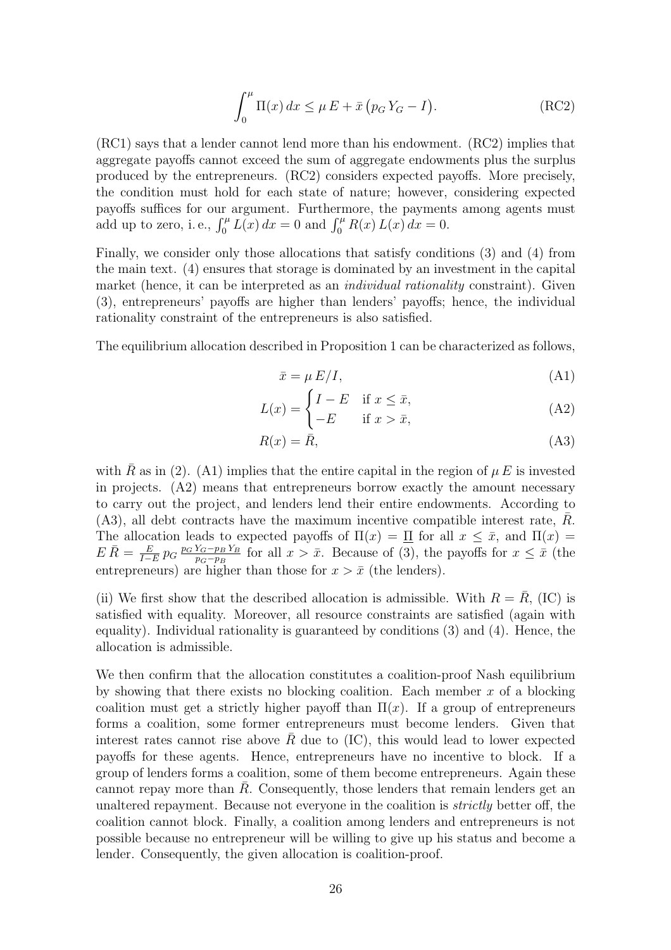$$
\int_0^{\mu} \Pi(x) dx \le \mu E + \bar{x} \left( p_G Y_G - I \right). \tag{RC2}
$$

(RC1) says that a lender cannot lend more than his endowment. (RC2) implies that aggregate payoffs cannot exceed the sum of aggregate endowments plus the surplus produced by the entrepreneurs. (RC2) considers expected payoffs. More precisely, the condition must hold for each state of nature; however, considering expected payoffs suffices for our argument. Furthermore, the payments among agents must add up to zero, i.e.,  $\int_0^{\mu} L(x) dx = 0$  and  $\int_0^{\mu} R(x) L(x) dx = 0$ .

Finally, we consider only those allocations that satisfy conditions (3) and (4) from the main text. (4) ensures that storage is dominated by an investment in the capital market (hence, it can be interpreted as an *individual rationality* constraint). Given (3), entrepreneurs' payoffs are higher than lenders' payoffs; hence, the individual rationality constraint of the entrepreneurs is also satisfied.

The equilibrium allocation described in Proposition 1 can be characterized as follows,

$$
\bar{x} = \mu E/I,\tag{A1}
$$

$$
L(x) = \begin{cases} I - E & \text{if } x \le \bar{x}, \\ -E & \text{if } x > \bar{x}, \end{cases}
$$
 (A2)

$$
R(x) = \bar{R},\tag{A3}
$$

with R as in (2). (A1) implies that the entire capital in the region of  $\mu E$  is invested in projects. (A2) means that entrepreneurs borrow exactly the amount necessary to carry out the project, and lenders lend their entire endowments. According to  $(A3)$ , all debt contracts have the maximum incentive compatible interest rate, R. The allocation leads to expected payoffs of  $\Pi(x) = \Pi$  for all  $x \le \bar{x}$ , and  $\Pi(x) =$  $E\bar{R} = \frac{E}{I-E} p_G \frac{p_G Y_G - p_B Y_B}{p_G - p_B}$  for all  $x > \bar{x}$ . Because of (3), the payoffs for  $x \leq \bar{x}$  (the entrepreneurs) are higher than those for  $x > \bar{x}$  (the lenders).

(ii) We first show that the described allocation is admissible. With  $R = \overline{R}$ , (IC) is satisfied with equality. Moreover, all resource constraints are satisfied (again with equality). Individual rationality is guaranteed by conditions (3) and (4). Hence, the allocation is admissible.

We then confirm that the allocation constitutes a coalition-proof Nash equilibrium by showing that there exists no blocking coalition. Each member  $x$  of a blocking coalition must get a strictly higher payoff than  $\Pi(x)$ . If a group of entrepreneurs forms a coalition, some former entrepreneurs must become lenders. Given that interest rates cannot rise above R due to  $(IC)$ , this would lead to lower expected payoffs for these agents. Hence, entrepreneurs have no incentive to block. If a group of lenders forms a coalition, some of them become entrepreneurs. Again these cannot repay more than  $R$ . Consequently, those lenders that remain lenders get an unaltered repayment. Because not everyone in the coalition is *strictly* better off, the coalition cannot block. Finally, a coalition among lenders and entrepreneurs is not possible because no entrepreneur will be willing to give up his status and become a lender. Consequently, the given allocation is coalition-proof.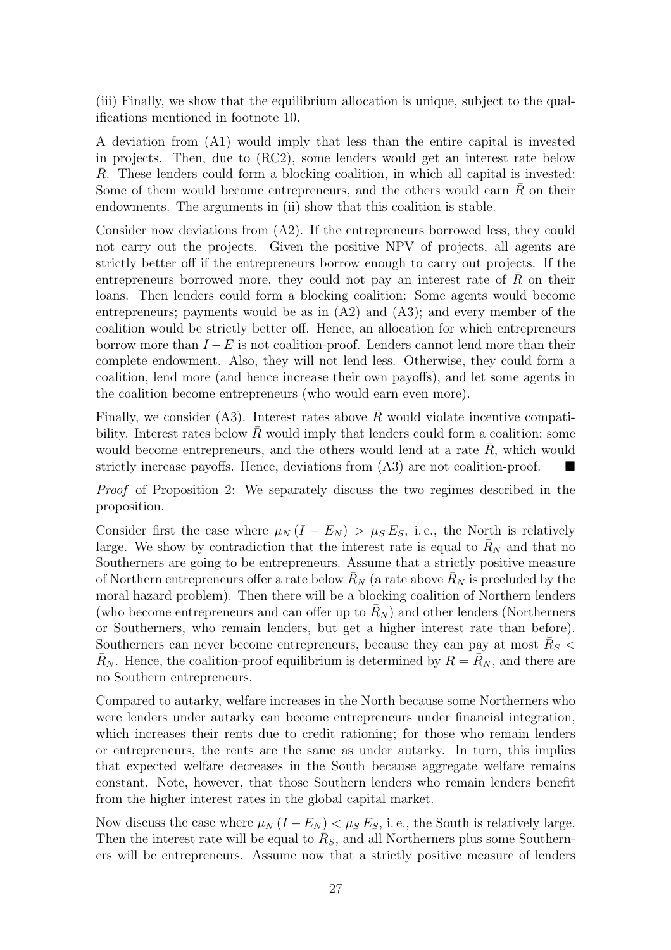(iii) Finally, we show that the equilibrium allocation is unique, subject to the qualifications mentioned in footnote 10.

A deviation from (A1) would imply that less than the entire capital is invested in projects. Then, due to (RC2), some lenders would get an interest rate below  $R$ . These lenders could form a blocking coalition, in which all capital is invested: Some of them would become entrepreneurs, and the others would earn  $R$  on their endowments. The arguments in (ii) show that this coalition is stable.

Consider now deviations from (A2). If the entrepreneurs borrowed less, they could not carry out the projects. Given the positive NPV of projects, all agents are strictly better off if the entrepreneurs borrow enough to carry out projects. If the entrepreneurs borrowed more, they could not pay an interest rate of  $\overline{R}$  on their loans. Then lenders could form a blocking coalition: Some agents would become entrepreneurs; payments would be as in  $(A2)$  and  $(A3)$ ; and every member of the coalition would be strictly better off. Hence, an allocation for which entrepreneurs borrow more than  $I - E$  is not coalition-proof. Lenders cannot lend more than their complete endowment. Also, they will not lend less. Otherwise, they could form a coalition, lend more (and hence increase their own payoffs), and let some agents in the coalition become entrepreneurs (who would earn even more).

Finally, we consider  $(A3)$ . Interest rates above R would violate incentive compatibility. Interest rates below  $R$  would imply that lenders could form a coalition; some would become entrepreneurs, and the others would lend at a rate  $\overline{R}$ , which would strictly increase payoffs. Hence, deviations from (A3) are not coalition-proof.

Proof of Proposition 2: We separately discuss the two regimes described in the proposition.

Consider first the case where  $\mu_N (I - E_N) > \mu_S E_S$ , i.e., the North is relatively large. We show by contradiction that the interest rate is equal to  $\bar{R}_N$  and that no Southerners are going to be entrepreneurs. Assume that a strictly positive measure of Northern entrepreneurs offer a rate below  $R_N$  (a rate above  $R_N$  is precluded by the moral hazard problem). Then there will be a blocking coalition of Northern lenders (who become entrepreneurs and can offer up to  $\bar{R}_N$ ) and other lenders (Northerners or Southerners, who remain lenders, but get a higher interest rate than before). Southerners can never become entrepreneurs, because they can pay at most  $R<sub>S</sub>$  $\bar{R}_N$ . Hence, the coalition-proof equilibrium is determined by  $R = \bar{R}_N$ , and there are no Southern entrepreneurs.

Compared to autarky, welfare increases in the North because some Northerners who were lenders under autarky can become entrepreneurs under financial integration, which increases their rents due to credit rationing; for those who remain lenders or entrepreneurs, the rents are the same as under autarky. In turn, this implies that expected welfare decreases in the South because aggregate welfare remains constant. Note, however, that those Southern lenders who remain lenders benefit from the higher interest rates in the global capital market.

Now discuss the case where  $\mu_N (I - E_N) < \mu_S E_S$ , i.e., the South is relatively large. Then the interest rate will be equal to  $R<sub>S</sub>$ , and all Northerners plus some Southerners will be entrepreneurs. Assume now that a strictly positive measure of lenders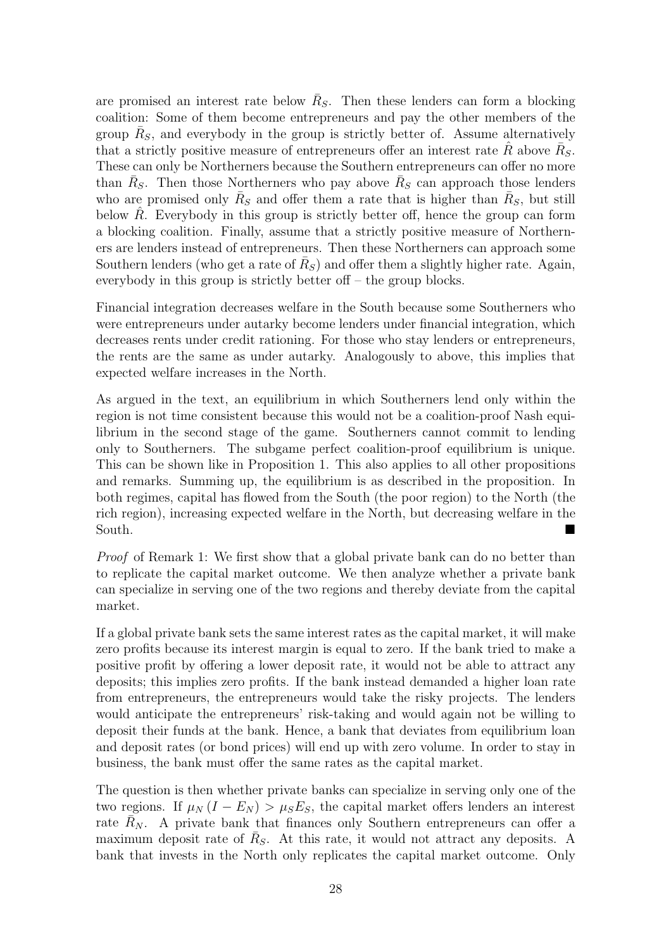are promised an interest rate below  $\bar{R}_s$ . Then these lenders can form a blocking coalition: Some of them become entrepreneurs and pay the other members of the group  $\bar{R}_s$ , and everybody in the group is strictly better of. Assume alternatively that a strictly positive measure of entrepreneurs offer an interest rate R above  $R<sub>S</sub>$ . These can only be Northerners because the Southern entrepreneurs can offer no more than  $R<sub>S</sub>$ . Then those Northerners who pay above  $R<sub>S</sub>$  can approach those lenders who are promised only  $\bar{R}_S$  and offer them a rate that is higher than  $\bar{R}_S$ , but still below  $\hat{R}$ . Everybody in this group is strictly better off, hence the group can form a blocking coalition. Finally, assume that a strictly positive measure of Northerners are lenders instead of entrepreneurs. Then these Northerners can approach some Southern lenders (who get a rate of  $\bar{R}_s$ ) and offer them a slightly higher rate. Again, everybody in this group is strictly better off – the group blocks.

Financial integration decreases welfare in the South because some Southerners who were entrepreneurs under autarky become lenders under financial integration, which decreases rents under credit rationing. For those who stay lenders or entrepreneurs, the rents are the same as under autarky. Analogously to above, this implies that expected welfare increases in the North.

As argued in the text, an equilibrium in which Southerners lend only within the region is not time consistent because this would not be a coalition-proof Nash equilibrium in the second stage of the game. Southerners cannot commit to lending only to Southerners. The subgame perfect coalition-proof equilibrium is unique. This can be shown like in Proposition 1. This also applies to all other propositions and remarks. Summing up, the equilibrium is as described in the proposition. In both regimes, capital has flowed from the South (the poor region) to the North (the rich region), increasing expected welfare in the North, but decreasing welfare in the South.

Proof of Remark 1: We first show that a global private bank can do no better than to replicate the capital market outcome. We then analyze whether a private bank can specialize in serving one of the two regions and thereby deviate from the capital market.

If a global private bank sets the same interest rates as the capital market, it will make zero profits because its interest margin is equal to zero. If the bank tried to make a positive profit by offering a lower deposit rate, it would not be able to attract any deposits; this implies zero profits. If the bank instead demanded a higher loan rate from entrepreneurs, the entrepreneurs would take the risky projects. The lenders would anticipate the entrepreneurs' risk-taking and would again not be willing to deposit their funds at the bank. Hence, a bank that deviates from equilibrium loan and deposit rates (or bond prices) will end up with zero volume. In order to stay in business, the bank must offer the same rates as the capital market.

The question is then whether private banks can specialize in serving only one of the two regions. If  $\mu_N (I - E_N) > \mu_S E_S$ , the capital market offers lenders an interest rate  $\overline{R}_N$ . A private bank that finances only Southern entrepreneurs can offer a maximum deposit rate of  $R<sub>S</sub>$ . At this rate, it would not attract any deposits. A bank that invests in the North only replicates the capital market outcome. Only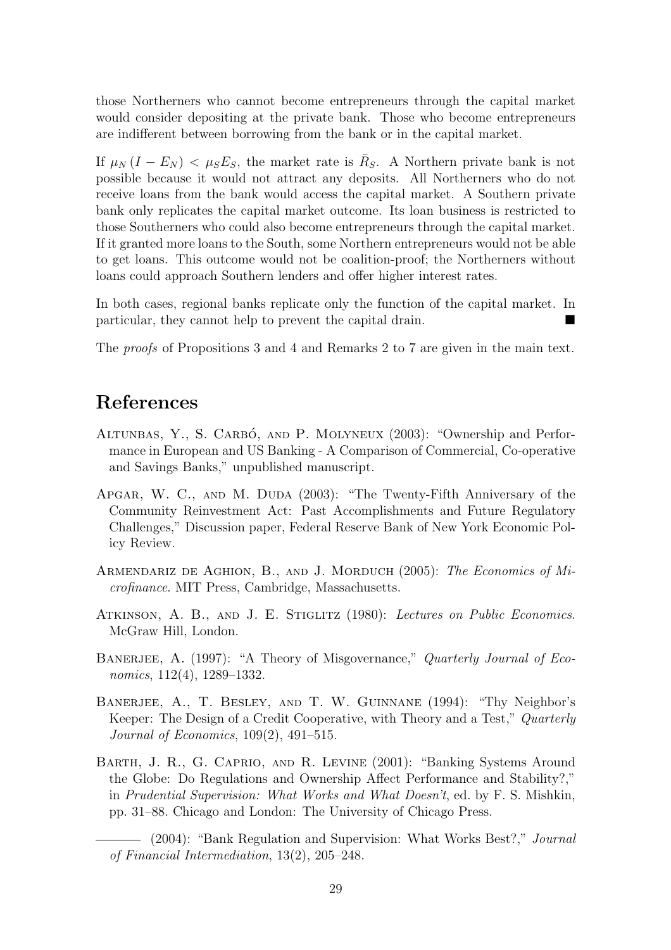those Northerners who cannot become entrepreneurs through the capital market would consider depositing at the private bank. Those who become entrepreneurs are indifferent between borrowing from the bank or in the capital market.

If  $\mu_N (I - E_N) < \mu_S E_S$ , the market rate is  $\bar{R}_S$ . A Northern private bank is not possible because it would not attract any deposits. All Northerners who do not receive loans from the bank would access the capital market. A Southern private bank only replicates the capital market outcome. Its loan business is restricted to those Southerners who could also become entrepreneurs through the capital market. If it granted more loans to the South, some Northern entrepreneurs would not be able to get loans. This outcome would not be coalition-proof; the Northerners without loans could approach Southern lenders and offer higher interest rates.

In both cases, regional banks replicate only the function of the capital market. In particular, they cannot help to prevent the capital drain.

The *proofs* of Propositions 3 and 4 and Remarks 2 to 7 are given in the main text.

## **References**

- ALTUNBAS, Y., S. CARBÓ, AND P. MOLYNEUX (2003): "Ownership and Performance in European and US Banking - A Comparison of Commercial, Co-operative and Savings Banks," unpublished manuscript.
- APGAR, W. C., AND M. DUDA (2003): "The Twenty-Fifth Anniversary of the Community Reinvestment Act: Past Accomplishments and Future Regulatory Challenges," Discussion paper, Federal Reserve Bank of New York Economic Policy Review.
- ARMENDARIZ DE AGHION, B., AND J. MORDUCH (2005): The Economics of Microfinance. MIT Press, Cambridge, Massachusetts.
- ATKINSON, A. B., AND J. E. STIGLITZ (1980): Lectures on Public Economics. McGraw Hill, London.
- BANERJEE, A. (1997): "A Theory of Misgovernance," Quarterly Journal of Economics, 112(4), 1289–1332.
- BANERJEE, A., T. BESLEY, AND T. W. GUINNANE (1994): "Thy Neighbor's Keeper: The Design of a Credit Cooperative, with Theory and a Test," Quarterly Journal of Economics, 109(2), 491–515.
- Barth, J. R., G. Caprio, and R. Levine (2001): "Banking Systems Around the Globe: Do Regulations and Ownership Affect Performance and Stability?," in Prudential Supervision: What Works and What Doesn't, ed. by F. S. Mishkin, pp. 31–88. Chicago and London: The University of Chicago Press.

<sup>(2004): &</sup>quot;Bank Regulation and Supervision: What Works Best?," Journal of Financial Intermediation, 13(2), 205–248.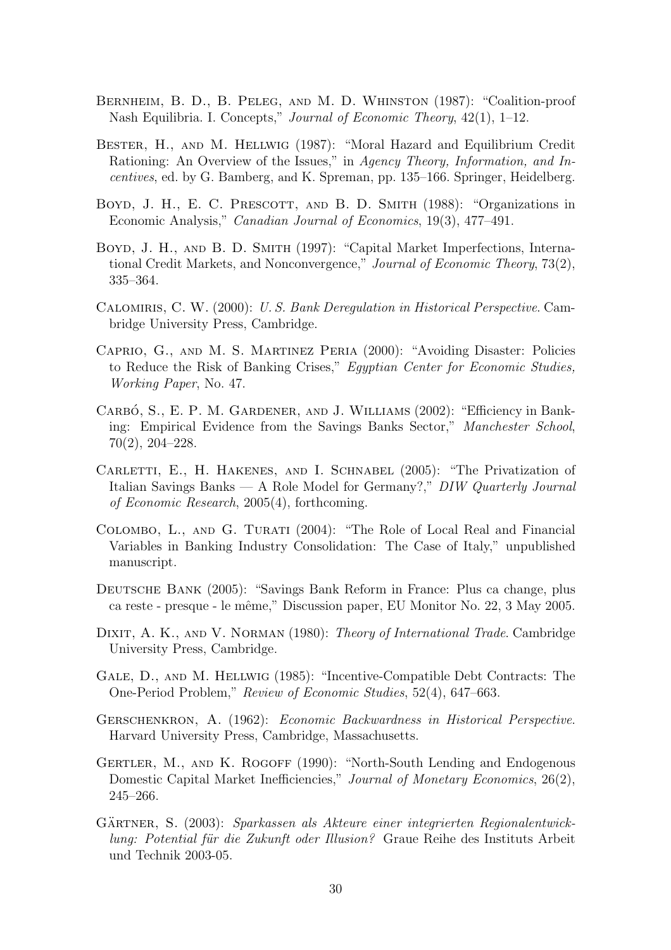- Bernheim, B. D., B. Peleg, and M. D. Whinston (1987): "Coalition-proof Nash Equilibria. I. Concepts," *Journal of Economic Theory*, 42(1), 1–12.
- BESTER, H., AND M. HELLWIG (1987): "Moral Hazard and Equilibrium Credit Rationing: An Overview of the Issues," in Agency Theory, Information, and Incentives, ed. by G. Bamberg, and K. Spreman, pp. 135–166. Springer, Heidelberg.
- BOYD, J. H., E. C. PRESCOTT, AND B. D. SMITH (1988): "Organizations in Economic Analysis," Canadian Journal of Economics, 19(3), 477–491.
- BOYD, J. H., AND B. D. SMITH (1997): "Capital Market Imperfections, International Credit Markets, and Nonconvergence," Journal of Economic Theory, 73(2), 335–364.
- Calomiris, C. W. (2000): U. S. Bank Deregulation in Historical Perspective. Cambridge University Press, Cambridge.
- Caprio, G., and M. S. Martinez Peria (2000): "Avoiding Disaster: Policies to Reduce the Risk of Banking Crises," Egyptian Center for Economic Studies, Working Paper, No. 47.
- CARBÓ, S., E. P. M. GARDENER, AND J. WILLIAMS (2002): "Efficiency in Banking: Empirical Evidence from the Savings Banks Sector," Manchester School, 70(2), 204–228.
- Carletti, E., H. Hakenes, and I. Schnabel (2005): "The Privatization of Italian Savings Banks — A Role Model for Germany?," DIW Quarterly Journal of Economic Research, 2005(4), forthcoming.
- COLOMBO, L., AND G. TURATI (2004): "The Role of Local Real and Financial Variables in Banking Industry Consolidation: The Case of Italy," unpublished manuscript.
- Deutsche Bank (2005): "Savings Bank Reform in France: Plus ca change, plus ca reste - presque - le mˆeme," Discussion paper, EU Monitor No. 22, 3 May 2005.
- DIXIT, A. K., AND V. NORMAN (1980): Theory of International Trade. Cambridge University Press, Cambridge.
- Gale, D., and M. Hellwig (1985): "Incentive-Compatible Debt Contracts: The One-Period Problem," Review of Economic Studies, 52(4), 647–663.
- Gerschenkron, A. (1962): Economic Backwardness in Historical Perspective. Harvard University Press, Cambridge, Massachusetts.
- GERTLER, M., AND K. ROGOFF (1990): "North-South Lending and Endogenous Domestic Capital Market Inefficiencies," Journal of Monetary Economics, 26(2), 245–266.
- GÄRTNER, S. (2003): Sparkassen als Akteure einer integrierten Regionalentwicklung: Potential für die Zukunft oder Illusion? Graue Reihe des Instituts Arbeit und Technik 2003-05.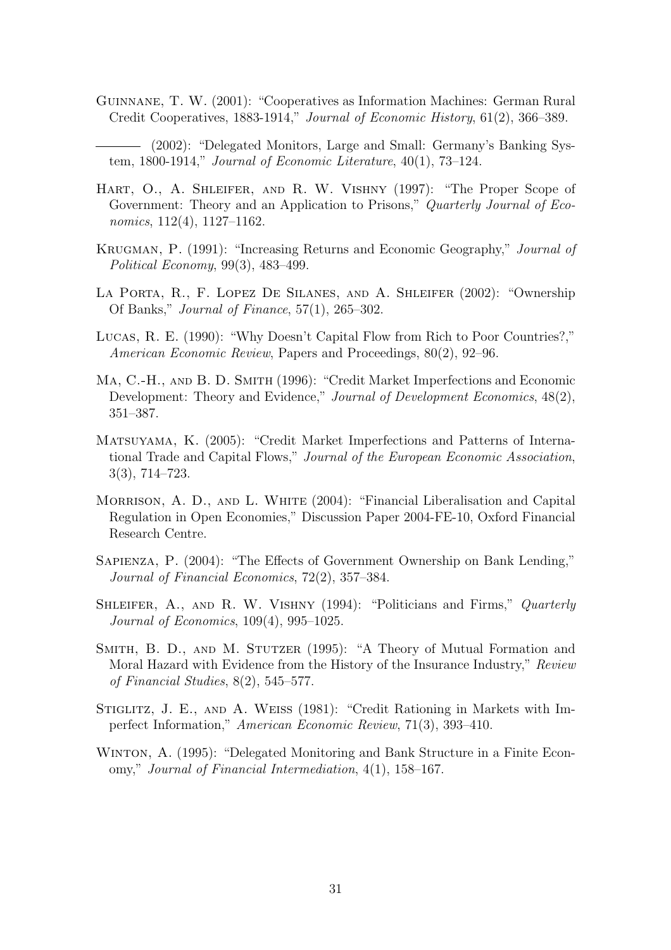Guinnane, T. W. (2001): "Cooperatives as Information Machines: German Rural Credit Cooperatives, 1883-1914," Journal of Economic History, 61(2), 366–389.

(2002): "Delegated Monitors, Large and Small: Germany's Banking System, 1800-1914," Journal of Economic Literature,  $40(1)$ , 73-124.

- HART, O., A. SHLEIFER, AND R. W. VISHNY (1997): "The Proper Scope of Government: Theory and an Application to Prisons," Quarterly Journal of Economics, 112(4), 1127–1162.
- Krugman, P. (1991): "Increasing Returns and Economic Geography," Journal of Political Economy, 99(3), 483–499.
- La Porta, R., F. Lopez De Silanes, and A. Shleifer (2002): "Ownership Of Banks," Journal of Finance, 57(1), 265–302.
- Lucas, R. E. (1990): "Why Doesn't Capital Flow from Rich to Poor Countries?," American Economic Review, Papers and Proceedings, 80(2), 92–96.
- MA, C.-H., AND B. D. SMITH (1996): "Credit Market Imperfections and Economic Development: Theory and Evidence," Journal of Development Economics,  $48(2)$ , 351–387.
- Matsuyama, K. (2005): "Credit Market Imperfections and Patterns of International Trade and Capital Flows," Journal of the European Economic Association, 3(3), 714–723.
- MORRISON, A. D., AND L. WHITE (2004): "Financial Liberalisation and Capital Regulation in Open Economies," Discussion Paper 2004-FE-10, Oxford Financial Research Centre.
- Sapienza, P. (2004): "The Effects of Government Ownership on Bank Lending," Journal of Financial Economics, 72(2), 357–384.
- SHLEIFER, A., AND R. W. VISHNY (1994): "Politicians and Firms," Quarterly Journal of Economics, 109(4), 995–1025.
- SMITH, B. D., AND M. STUTZER (1995): "A Theory of Mutual Formation and Moral Hazard with Evidence from the History of the Insurance Industry," Review of Financial Studies, 8(2), 545–577.
- STIGLITZ, J. E., AND A. WEISS (1981): "Credit Rationing in Markets with Imperfect Information," American Economic Review, 71(3), 393–410.
- Winton, A. (1995): "Delegated Monitoring and Bank Structure in a Finite Economy," Journal of Financial Intermediation, 4(1), 158–167.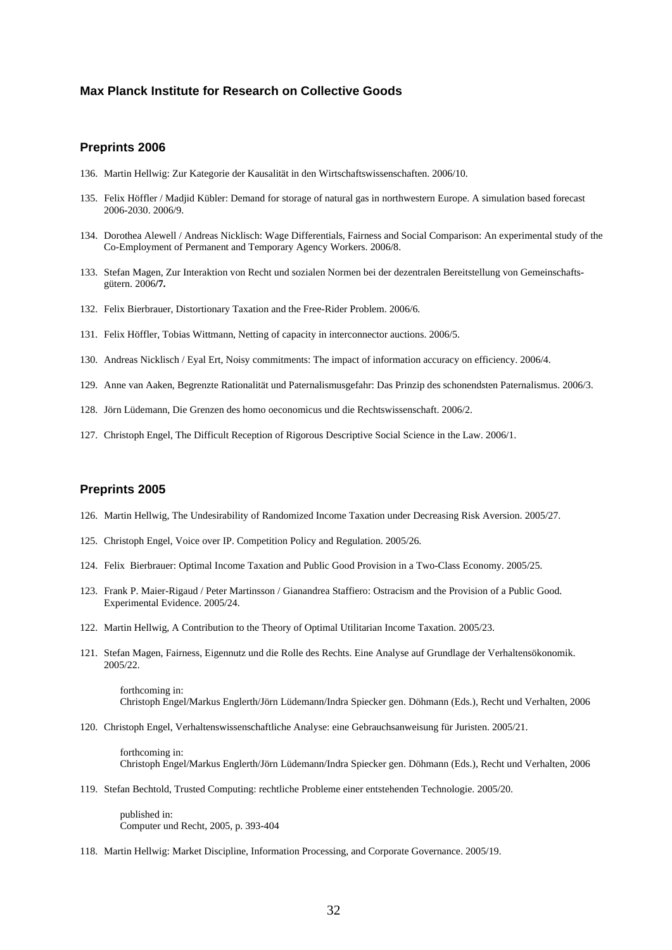#### **Max Planck Institute for Research on Collective Goods**

#### **Preprints 2006**

- 136. Martin Hellwig: Zur Kategorie der Kausalität in den Wirtschaftswissenschaften. 2006/10.
- 135. Felix Höffler / Madjid Kübler: Demand for storage of natural gas in northwestern Europe. A simulation based forecast 2006-2030. 2006/9.
- 134. Dorothea Alewell / Andreas Nicklisch: Wage Differentials, Fairness and Social Comparison: An experimental study of the Co-Employment of Permanent and Temporary Agency Workers. 2006/8.
- 133. Stefan Magen, Zur Interaktion von Recht und sozialen Normen bei der dezentralen Bereitstellung von Gemeinschaftsgütern. 2006**/7.**
- 132. Felix Bierbrauer, Distortionary Taxation and the Free-Rider Problem. 2006/6.
- 131. Felix Höffler, Tobias Wittmann, Netting of capacity in interconnector auctions. 2006/5.
- 130. Andreas Nicklisch / Eyal Ert, Noisy commitments: The impact of information accuracy on efficiency. 2006/4.
- 129. Anne van Aaken, Begrenzte Rationalität und Paternalismusgefahr: Das Prinzip des schonendsten Paternalismus. 2006/3.
- 128. Jörn Lüdemann, Die Grenzen des homo oeconomicus und die Rechtswissenschaft. 2006/2.
- 127. Christoph Engel, The Difficult Reception of Rigorous Descriptive Social Science in the Law. 2006/1.

#### **Preprints 2005**

- 126. Martin Hellwig, The Undesirability of Randomized Income Taxation under Decreasing Risk Aversion. 2005/27.
- 125. Christoph Engel, Voice over IP. Competition Policy and Regulation. 2005/26.
- 124. Felix Bierbrauer: Optimal Income Taxation and Public Good Provision in a Two-Class Economy. 2005/25.
- 123. Frank P. Maier-Rigaud / Peter Martinsson / Gianandrea Staffiero: Ostracism and the Provision of a Public Good. Experimental Evidence. 2005/24.
- 122. Martin Hellwig, A Contribution to the Theory of Optimal Utilitarian Income Taxation. 2005/23.
- 121. Stefan Magen, Fairness, Eigennutz und die Rolle des Rechts. Eine Analyse auf Grundlage der Verhaltensökonomik. 2005/22.

forthcoming in: Christoph Engel/Markus Englerth/Jörn Lüdemann/Indra Spiecker gen. Döhmann (Eds.), Recht und Verhalten, 2006

120. Christoph Engel, Verhaltenswissenschaftliche Analyse: eine Gebrauchsanweisung für Juristen. 2005/21.

forthcoming in: Christoph Engel/Markus Englerth/Jörn Lüdemann/Indra Spiecker gen. Döhmann (Eds.), Recht und Verhalten, 2006

119. Stefan Bechtold, Trusted Computing: rechtliche Probleme einer entstehenden Technologie. 2005/20.

published in: Computer und Recht, 2005, p. 393-404

118. Martin Hellwig: Market Discipline, Information Processing, and Corporate Governance. 2005/19.